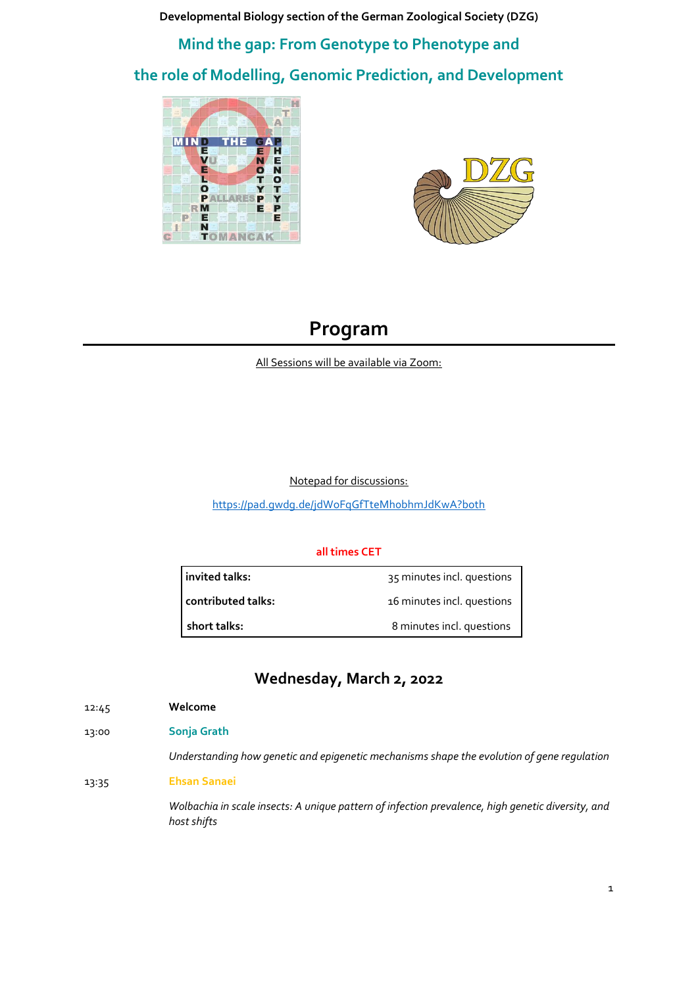**Developmental Biology section of the German Zoological Society (DZG)**

**Mind the gap: From Genotype to Phenotype and the role of Modelling, Genomic Prediction, and Development**





## **Program**

All Sessions will be available via Zoom:

Notepad for discussions:

<https://pad.gwdg.de/jdWoFqGfTteMh0bhmJdKwA?both>

## **all times CET**

**invited talks:** 35 minutes incl. questions

**contributed talks:** 16 minutes incl. questions

**short talks:** 8 minutes incl. questions

## **Wednesday, March 2, 2022**

12:45 **Welcome**

13:00 **Sonja Grath**

*Understanding how genetic and epigenetic mechanisms shape the evolution of gene regulation*

13:35 **Ehsan Sanaei**

*Wolbachia in scale insects: A unique pattern of infection prevalence, high genetic diversity, and host shifts*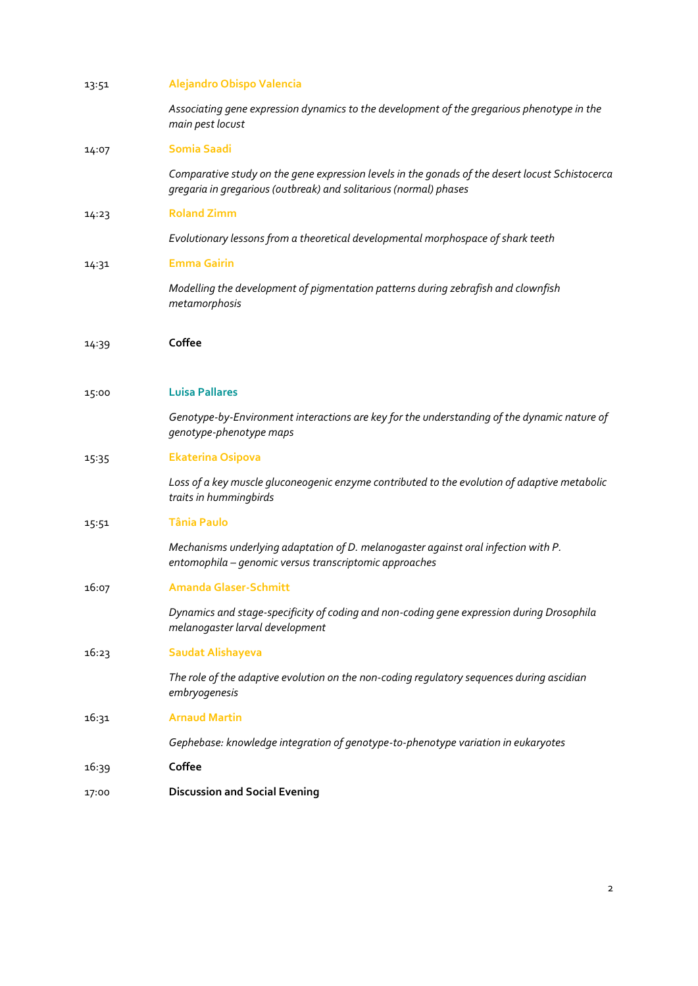| 13:51 | Alejandro Obispo Valencia                                                                                                                                            |
|-------|----------------------------------------------------------------------------------------------------------------------------------------------------------------------|
|       | Associating gene expression dynamics to the development of the gregarious phenotype in the<br>main pest locust                                                       |
| 14:07 | <b>Somia Saadi</b>                                                                                                                                                   |
|       | Comparative study on the gene expression levels in the gonads of the desert locust Schistocerca<br>gregaria in gregarious (outbreak) and solitarious (normal) phases |
| 14:23 | <b>Roland Zimm</b>                                                                                                                                                   |
|       | Evolutionary lessons from a theoretical developmental morphospace of shark teeth                                                                                     |
| 14:31 | <b>Emma Gairin</b>                                                                                                                                                   |
|       | Modelling the development of pigmentation patterns during zebrafish and clownfish<br>metamorphosis                                                                   |
| 14:39 | Coffee                                                                                                                                                               |
| 15:00 | <b>Luisa Pallares</b>                                                                                                                                                |
|       | Genotype-by-Environment interactions are key for the understanding of the dynamic nature of<br>genotype-phenotype maps                                               |
| 15:35 | <b>Ekaterina Osipova</b>                                                                                                                                             |
|       | Loss of a key muscle gluconeogenic enzyme contributed to the evolution of adaptive metabolic<br>traits in hummingbirds                                               |
| 15:51 | <b>Tânia Paulo</b>                                                                                                                                                   |
|       | Mechanisms underlying adaptation of D. melanogaster against oral infection with P.<br>entomophila - genomic versus transcriptomic approaches                         |
| 16:07 | <b>Amanda Glaser-Schmitt</b>                                                                                                                                         |
|       | Dynamics and stage-specificity of coding and non-coding gene expression during Drosophila<br>melanogaster larval development                                         |
| 16:23 | <b>Saudat Alishayeva</b>                                                                                                                                             |
|       | The role of the adaptive evolution on the non-coding regulatory sequences during ascidian<br>embryogenesis                                                           |
| 16:31 | <b>Arnaud Martin</b>                                                                                                                                                 |
|       | Gephebase: knowledge integration of genotype-to-phenotype variation in eukaryotes                                                                                    |
| 16:39 | Coffee                                                                                                                                                               |
| 17:00 | <b>Discussion and Social Evening</b>                                                                                                                                 |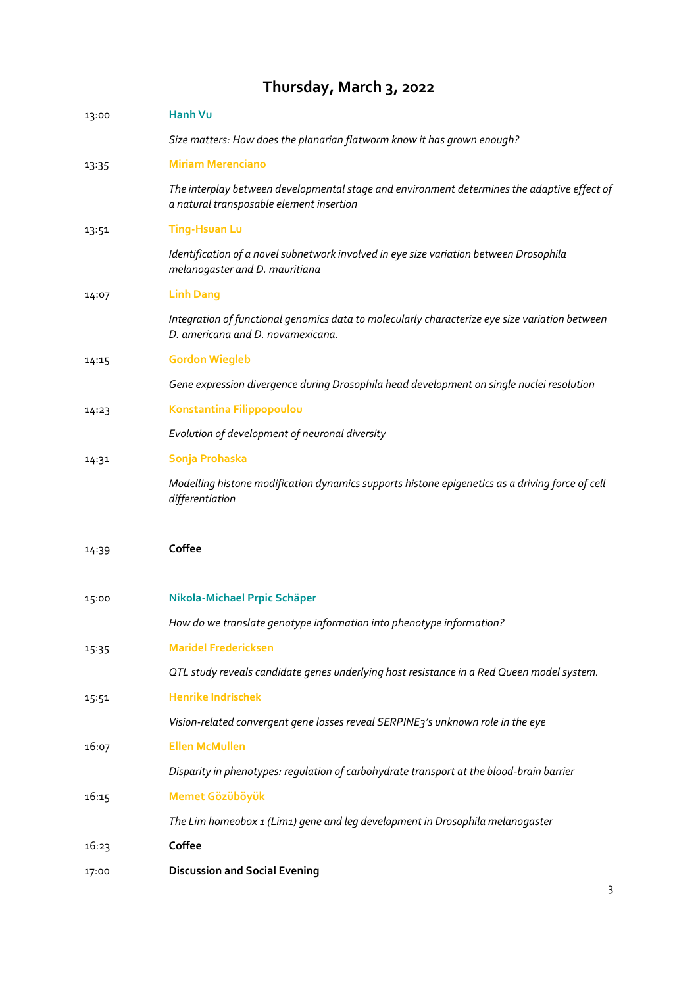# **Thursday, March 3, 2022**

| 13:00 | Hanh Vu                                                                                                                                 |
|-------|-----------------------------------------------------------------------------------------------------------------------------------------|
|       | Size matters: How does the planarian flatworm know it has grown enough?                                                                 |
| 13:35 | <b>Miriam Merenciano</b>                                                                                                                |
|       | The interplay between developmental stage and environment determines the adaptive effect of<br>a natural transposable element insertion |
| 13:51 | <b>Ting-Hsuan Lu</b>                                                                                                                    |
|       | Identification of a novel subnetwork involved in eye size variation between Drosophila<br>melanogaster and D. mauritiana                |
| 14:07 | <b>Linh Dang</b>                                                                                                                        |
|       | Integration of functional genomics data to molecularly characterize eye size variation between<br>D. americana and D. novamexicana.     |
| 14:15 | <b>Gordon Wiegleb</b>                                                                                                                   |
|       | Gene expression divergence during Drosophila head development on single nuclei resolution                                               |
| 14:23 | Konstantina Filippopoulou                                                                                                               |
|       | Evolution of development of neuronal diversity                                                                                          |
| 14:31 | Sonja Prohaska                                                                                                                          |
|       | Modelling histone modification dynamics supports histone epigenetics as a driving force of cell<br>differentiation                      |
| 14:39 | Coffee                                                                                                                                  |
| 15:00 | Nikola-Michael Prpic Schäper                                                                                                            |
|       | How do we translate genotype information into phenotype information?                                                                    |
| 15:35 | <b>Maridel Fredericksen</b>                                                                                                             |
|       | OTL study reveals candidate genes underlying host resistance in a Red Queen model system.                                               |
| 15:51 | <b>Henrike Indrischek</b>                                                                                                               |
|       | Vision-related convergent gene losses reveal SERPINE3's unknown role in the eye                                                         |
| 16:07 | <b>Ellen McMullen</b>                                                                                                                   |
|       | Disparity in phenotypes: regulation of carbohydrate transport at the blood-brain barrier                                                |
| 16:15 | Memet Gözüböyük                                                                                                                         |
|       | The Lim homeobox 1 (Lim1) gene and leg development in Drosophila melanogaster                                                           |
| 16:23 | Coffee                                                                                                                                  |
| 17:00 | <b>Discussion and Social Evening</b>                                                                                                    |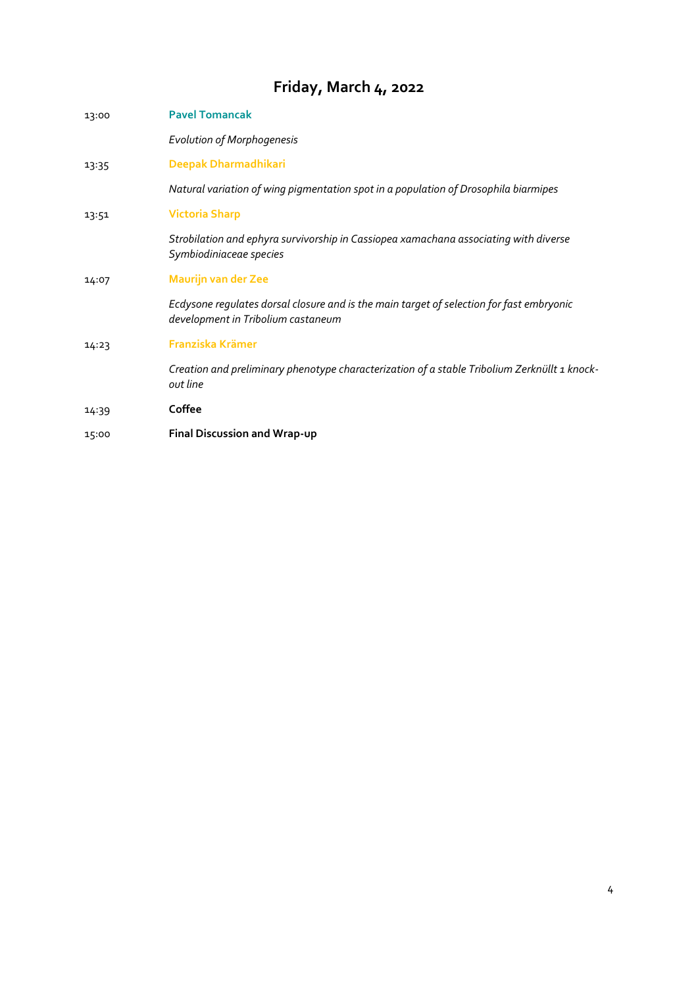# **Friday, March 4, 2022**

| 13:00 | <b>Pavel Tomancak</b>                                                                                                          |
|-------|--------------------------------------------------------------------------------------------------------------------------------|
|       | <b>Evolution of Morphogenesis</b>                                                                                              |
| 13:35 | Deepak Dharmadhikari                                                                                                           |
|       | Natural variation of wing pigmentation spot in a population of Drosophila biarmipes                                            |
| 13:51 | <b>Victoria Sharp</b>                                                                                                          |
|       | Strobilation and ephyra survivorship in Cassiopea xamachana associating with diverse<br>Symbiodiniaceae species                |
| 14:07 | <b>Maurijn van der Zee</b>                                                                                                     |
|       | Ecdysone regulates dorsal closure and is the main target of selection for fast embryonic<br>development in Tribolium castaneum |
| 14:23 | Franziska Krämer                                                                                                               |
|       | Creation and preliminary phenotype characterization of a stable Tribolium Zerknüllt 1 knock-<br>out line                       |
| 14:39 | Coffee                                                                                                                         |
| 15:00 | Final Discussion and Wrap-up                                                                                                   |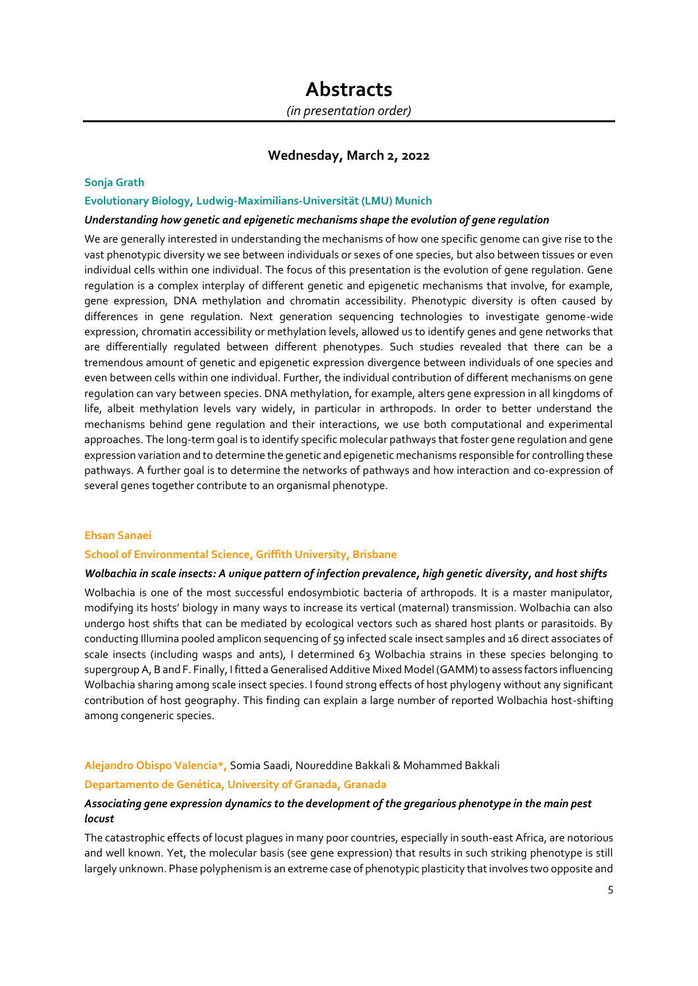## **Wednesday, March 2, 2022**

## **Sonja Grath**

## **Evolutionary Biology, Ludwig-Maximilians-Universität (LMU) Munich**

#### *Understanding how genetic and epigenetic mechanisms shape the evolution of gene regulation*

We are generally interested in understanding the mechanisms of how one specific genome can give rise to the vast phenotypic diversity we see between individuals or sexes of one species, but also between tissues or even individual cells within one individual. The focus of this presentation is the evolution of gene regulation. Gene regulation is a complex interplay of different genetic and epigenetic mechanisms that involve, for example, gene expression, DNA methylation and chromatin accessibility. Phenotypic diversity is often caused by differences in gene regulation. Next generation sequencing technologies to investigate genome-wide expression, chromatin accessibility or methylation levels, allowed us to identify genes and gene networks that are differentially regulated between different phenotypes. Such studies revealed that there can be a tremendous amount of genetic and epigenetic expression divergence between individuals of one species and even between cells within one individual. Further, the individual contribution of different mechanisms on gene regulation can vary between species. DNA methylation, for example, alters gene expression in all kingdoms of life, albeit methylation levels vary widely, in particular in arthropods. In order to better understand the mechanisms behind gene regulation and their interactions, we use both computational and experimental approaches. The long-term goal is to identify specific molecular pathways that foster gene regulation and gene expression variation and to determine the genetic and epigenetic mechanisms responsible for controlling these pathways. A further goal is to determine the networks of pathways and how interaction and co-expression of several genes together contribute to an organismal phenotype.

## **Ehsan Sanaei**

#### **School of Environmental Science, Griffith University, Brisbane**

## *Wolbachia in scale insects: A unique pattern of infection prevalence, high genetic diversity, and host shifts*

Wolbachia is one of the most successful endosymbiotic bacteria of arthropods. It is a master manipulator, modifying its hosts' biology in many ways to increase its vertical (maternal) transmission. Wolbachia can also undergo host shifts that can be mediated by ecological vectors such as shared host plants or parasitoids. By conducting Illumina pooled amplicon sequencing of 59 infected scale insect samples and 16 direct associates of scale insects (including wasps and ants), I determined 63 Wolbachia strains in these species belonging to supergroup A, B and F. Finally, I fitted a Generalised Additive Mixed Model (GAMM) to assess factors influencing Wolbachia sharing among scale insect species. I found strong effects of host phylogeny without any significant contribution of host geography. This finding can explain a large number of reported Wolbachia host-shifting among congeneric species.

#### **Alejandro Obispo Valencia\*,** Somia Saadi, Noureddine Bakkali & Mohammed Bakkali

#### **Departamento de Genética, University of Granada, Granada**

## *Associating gene expression dynamics to the development of the gregarious phenotype in the main pest locust*

The catastrophic effects of locust plagues in many poor countries, especially in south-east Africa, are notorious and well known. Yet, the molecular basis (see gene expression) that results in such striking phenotype is still largely unknown. Phase polyphenism is an extreme case of phenotypic plasticity that involves two opposite and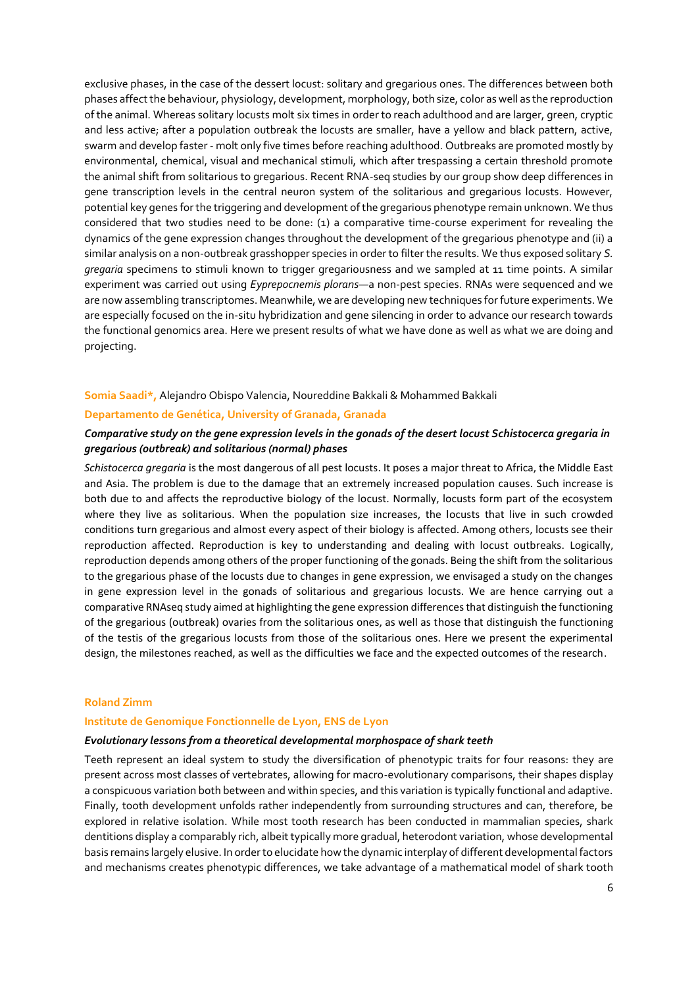exclusive phases, in the case of the dessert locust: solitary and gregarious ones. The differences between both phases affect the behaviour, physiology, development, morphology, both size, color as well as the reproduction of the animal. Whereas solitary locusts molt six times in order to reach adulthood and are larger, green, cryptic and less active; after a population outbreak the locusts are smaller, have a yellow and black pattern, active, swarm and develop faster - molt only five times before reaching adulthood. Outbreaks are promoted mostly by environmental, chemical, visual and mechanical stimuli, which after trespassing a certain threshold promote the animal shift from solitarious to gregarious. Recent RNA-seq studies by our group show deep differences in gene transcription levels in the central neuron system of the solitarious and gregarious locusts. However, potential key genes for the triggering and development of the gregarious phenotype remain unknown. We thus considered that two studies need to be done: (1) a comparative time-course experiment for revealing the dynamics of the gene expression changes throughout the development of the gregarious phenotype and (ii) a similar analysis on a non-outbreak grasshopper species in order to filter the results. We thus exposed solitary *S. gregaria* specimens to stimuli known to trigger gregariousness and we sampled at 11 time points. A similar experiment was carried out using *Eyprepocnemis plorans*—a non-pest species. RNAs were sequenced and we are now assembling transcriptomes. Meanwhile, we are developing new techniques for future experiments. We are especially focused on the in-situ hybridization and gene silencing in order to advance our research towards the functional genomics area. Here we present results of what we have done as well as what we are doing and projecting.

## **Somia Saadi\*,** Alejandro Obispo Valencia, Noureddine Bakkali & Mohammed Bakkali

## **Departamento de Genética, University of Granada, Granada**

## *Comparative study on the gene expression levels in the gonads of the desert locust Schistocerca gregaria in gregarious (outbreak) and solitarious (normal) phases*

*Schistocerca gregaria* is the most dangerous of all pest locusts. It poses a major threat to Africa, the Middle East and Asia. The problem is due to the damage that an extremely increased population causes. Such increase is both due to and affects the reproductive biology of the locust. Normally, locusts form part of the ecosystem where they live as solitarious. When the population size increases, the locusts that live in such crowded conditions turn gregarious and almost every aspect of their biology is affected. Among others, locusts see their reproduction affected. Reproduction is key to understanding and dealing with locust outbreaks. Logically, reproduction depends among others of the proper functioning of the gonads. Being the shift from the solitarious to the gregarious phase of the locusts due to changes in gene expression, we envisaged a study on the changes in gene expression level in the gonads of solitarious and gregarious locusts. We are hence carrying out a comparative RNAseq study aimed at highlighting the gene expression differences that distinguish the functioning of the gregarious (outbreak) ovaries from the solitarious ones, as well as those that distinguish the functioning of the testis of the gregarious locusts from those of the solitarious ones. Here we present the experimental design, the milestones reached, as well as the difficulties we face and the expected outcomes of the research.

### **Roland Zimm**

#### **Institute de Genomique Fonctionnelle de Lyon, ENS de Lyon**

## *Evolutionary lessons from a theoretical developmental morphospace of shark teeth*

Teeth represent an ideal system to study the diversification of phenotypic traits for four reasons: they are present across most classes of vertebrates, allowing for macro-evolutionary comparisons, their shapes display a conspicuous variation both between and within species, and this variation is typically functional and adaptive. Finally, tooth development unfolds rather independently from surrounding structures and can, therefore, be explored in relative isolation. While most tooth research has been conducted in mammalian species, shark dentitions display a comparably rich, albeit typically more gradual, heterodont variation, whose developmental basis remains largely elusive. In order to elucidate how the dynamic interplay of different developmental factors and mechanisms creates phenotypic differences, we take advantage of a mathematical model of shark tooth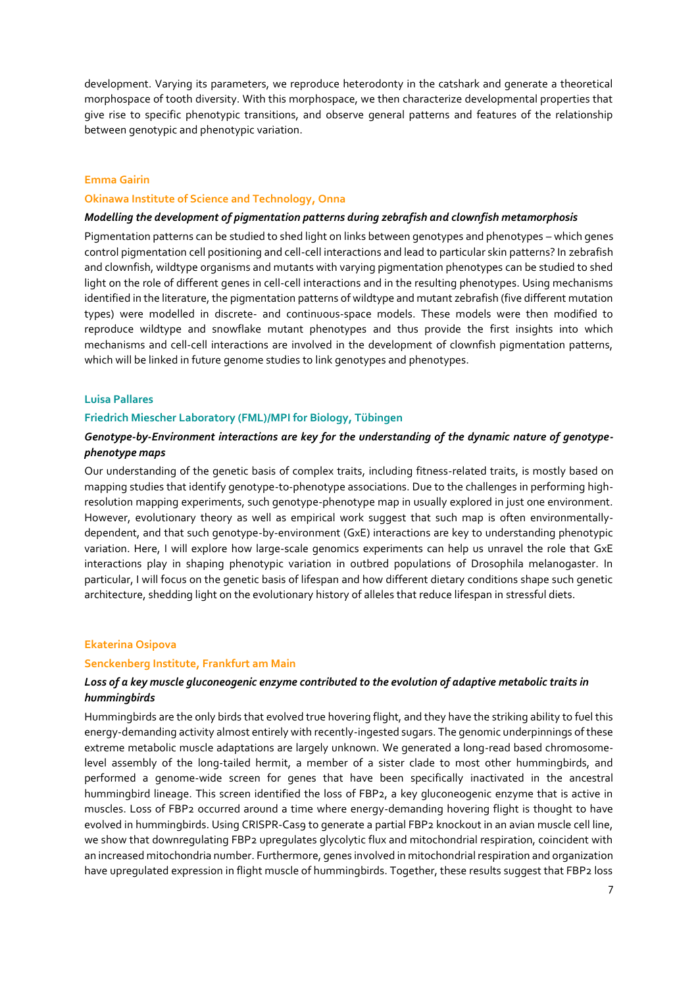development. Varying its parameters, we reproduce heterodonty in the catshark and generate a theoretical morphospace of tooth diversity. With this morphospace, we then characterize developmental properties that give rise to specific phenotypic transitions, and observe general patterns and features of the relationship between genotypic and phenotypic variation.

## **Emma Gairin**

### **Okinawa Institute of Science and Technology, Onna**

## *Modelling the development of pigmentation patterns during zebrafish and clownfish metamorphosis*

Pigmentation patterns can be studied to shed light on links between genotypes and phenotypes – which genes control pigmentation cell positioning and cell-cell interactions and lead to particular skin patterns? In zebrafish and clownfish, wildtype organisms and mutants with varying pigmentation phenotypes can be studied to shed light on the role of different genes in cell-cell interactions and in the resulting phenotypes. Using mechanisms identified in the literature, the pigmentation patterns of wildtype and mutant zebrafish (five different mutation types) were modelled in discrete- and continuous-space models. These models were then modified to reproduce wildtype and snowflake mutant phenotypes and thus provide the first insights into which mechanisms and cell-cell interactions are involved in the development of clownfish pigmentation patterns, which will be linked in future genome studies to link genotypes and phenotypes.

## **Luisa Pallares**

## **Friedrich Miescher Laboratory (FML)/MPI for Biology, Tübingen**

## *Genotype-by-Environment interactions are key for the understanding of the dynamic nature of genotypephenotype maps*

Our understanding of the genetic basis of complex traits, including fitness-related traits, is mostly based on mapping studies that identify genotype-to-phenotype associations. Due to the challenges in performing highresolution mapping experiments, such genotype-phenotype map in usually explored in just one environment. However, evolutionary theory as well as empirical work suggest that such map is often environmentallydependent, and that such genotype-by-environment (GxE) interactions are key to understanding phenotypic variation. Here, I will explore how large-scale genomics experiments can help us unravel the role that GxE interactions play in shaping phenotypic variation in outbred populations of Drosophila melanogaster. In particular, I will focus on the genetic basis of lifespan and how different dietary conditions shape such genetic architecture, shedding light on the evolutionary history of alleles that reduce lifespan in stressful diets.

### **Ekaterina Osipova**

### **Senckenberg Institute, Frankfurt am Main**

## *Loss of a key muscle gluconeogenic enzyme contributed to the evolution of adaptive metabolic traits in hummingbirds*

Hummingbirds are the only birds that evolved true hovering flight, and they have the striking ability to fuel this energy-demanding activity almost entirely with recently-ingested sugars. The genomic underpinnings of these extreme metabolic muscle adaptations are largely unknown. We generated a long-read based chromosomelevel assembly of the long-tailed hermit, a member of a sister clade to most other hummingbirds, and performed a genome-wide screen for genes that have been specifically inactivated in the ancestral hummingbird lineage. This screen identified the loss of FBP2, a key gluconeogenic enzyme that is active in muscles. Loss of FBP2 occurred around a time where energy-demanding hovering flight is thought to have evolved in hummingbirds. Using CRISPR-Cas9 to generate a partial FBP2 knockout in an avian muscle cell line, we show that downregulating FBP2 upregulates glycolytic flux and mitochondrial respiration, coincident with an increased mitochondria number. Furthermore, genes involved in mitochondrial respiration and organization have upregulated expression in flight muscle of hummingbirds. Together, these results suggest that FBP2 loss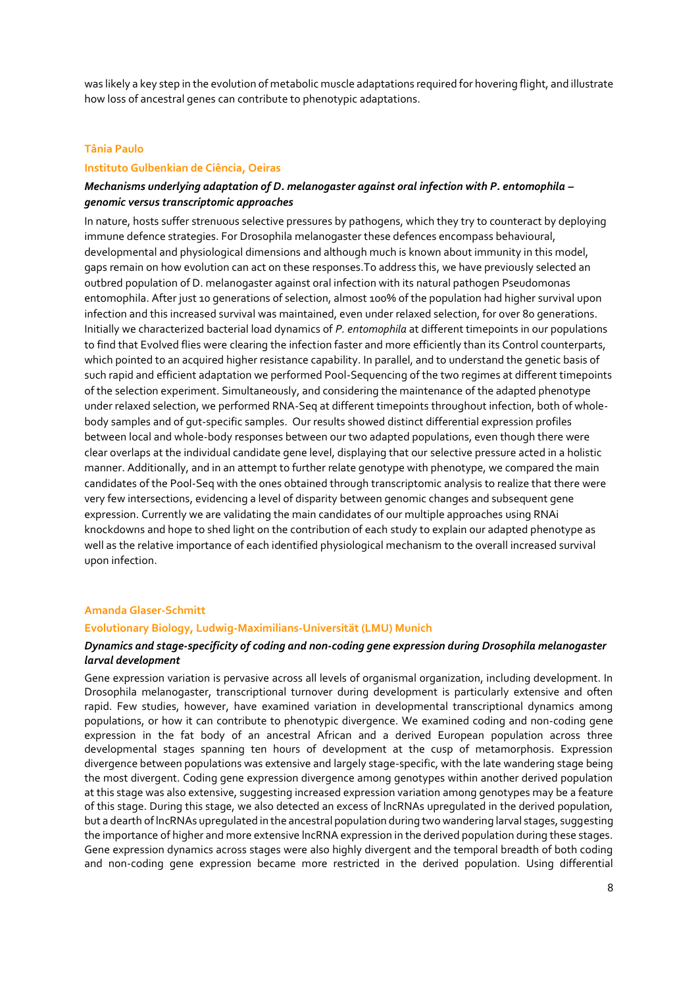was likely a key step in the evolution of metabolic muscle adaptations required for hovering flight, and illustrate how loss of ancestral genes can contribute to phenotypic adaptations.

#### **Tânia Paulo**

## **Instituto Gulbenkian de Ciência, Oeiras**

## *Mechanisms underlying adaptation of D. melanogaster against oral infection with P. entomophila – genomic versus transcriptomic approaches*

In nature, hosts suffer strenuous selective pressures by pathogens, which they try to counteract by deploying immune defence strategies. For Drosophila melanogaster these defences encompass behavioural, developmental and physiological dimensions and although much is known about immunity in this model, gaps remain on how evolution can act on these responses.To address this, we have previously selected an outbred population of D. melanogaster against oral infection with its natural pathogen Pseudomonas entomophila. After just 10 generations of selection, almost 100% of the population had higher survival upon infection and this increased survival was maintained, even under relaxed selection, for over 80 generations. Initially we characterized bacterial load dynamics of *P. entomophila* at different timepoints in our populations to find that Evolved flies were clearing the infection faster and more efficiently than its Control counterparts, which pointed to an acquired higher resistance capability. In parallel, and to understand the genetic basis of such rapid and efficient adaptation we performed Pool-Sequencing of the two regimes at different timepoints of the selection experiment. Simultaneously, and considering the maintenance of the adapted phenotype under relaxed selection, we performed RNA-Seq at different timepoints throughout infection, both of wholebody samples and of gut-specific samples. Our results showed distinct differential expression profiles between local and whole-body responses between our two adapted populations, even though there were clear overlaps at the individual candidate gene level, displaying that our selective pressure acted in a holistic manner. Additionally, and in an attempt to further relate genotype with phenotype, we compared the main candidates of the Pool-Seq with the ones obtained through transcriptomic analysis to realize that there were very few intersections, evidencing a level of disparity between genomic changes and subsequent gene expression. Currently we are validating the main candidates of our multiple approaches using RNAi knockdowns and hope to shed light on the contribution of each study to explain our adapted phenotype as well as the relative importance of each identified physiological mechanism to the overall increased survival upon infection.

## **Amanda Glaser-Schmitt**

## **Evolutionary Biology, Ludwig-Maximilians-Universität (LMU) Munich**

## *Dynamics and stage-specificity of coding and non-coding gene expression during Drosophila melanogaster larval development*

Gene expression variation is pervasive across all levels of organismal organization, including development. In Drosophila melanogaster, transcriptional turnover during development is particularly extensive and often rapid. Few studies, however, have examined variation in developmental transcriptional dynamics among populations, or how it can contribute to phenotypic divergence. We examined coding and non-coding gene expression in the fat body of an ancestral African and a derived European population across three developmental stages spanning ten hours of development at the cusp of metamorphosis. Expression divergence between populations was extensive and largely stage-specific, with the late wandering stage being the most divergent. Coding gene expression divergence among genotypes within another derived population at this stage was also extensive, suggesting increased expression variation among genotypes may be a feature of this stage. During this stage, we also detected an excess of lncRNAs upregulated in the derived population, but a dearth of lncRNAs upregulated in the ancestral population during two wandering larval stages, suggesting the importance of higher and more extensive lncRNA expression in the derived population during these stages. Gene expression dynamics across stages were also highly divergent and the temporal breadth of both coding and non-coding gene expression became more restricted in the derived population. Using differential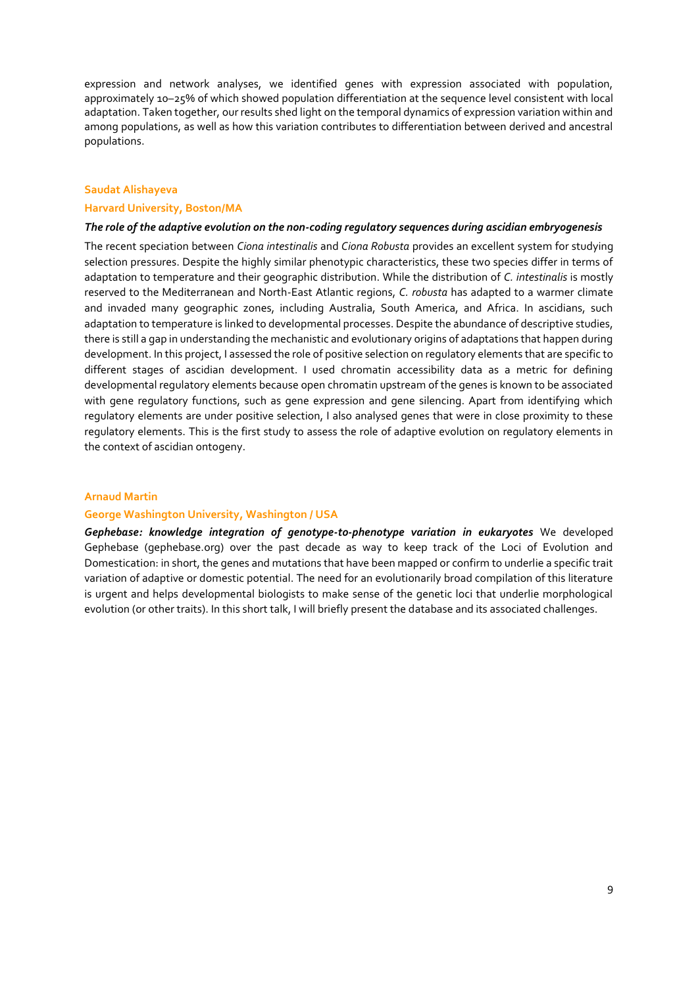expression and network analyses, we identified genes with expression associated with population, approximately 10–25% of which showed population differentiation at the sequence level consistent with local adaptation. Taken together, our results shed light on the temporal dynamics of expression variation within and among populations, as well as how this variation contributes to differentiation between derived and ancestral populations.

#### **Saudat Alishayeva**

## **Harvard University, Boston/MA**

## *The role of the adaptive evolution on the non-coding regulatory sequences during ascidian embryogenesis*

The recent speciation between *Ciona intestinalis* and *Ciona Robusta* provides an excellent system for studying selection pressures. Despite the highly similar phenotypic characteristics, these two species differ in terms of adaptation to temperature and their geographic distribution. While the distribution of *C. intestinalis* is mostly reserved to the Mediterranean and North-East Atlantic regions, *C. robusta* has adapted to a warmer climate and invaded many geographic zones, including Australia, South America, and Africa. In ascidians, such adaptation to temperature is linked to developmental processes. Despite the abundance of descriptive studies, there is still a gap in understanding the mechanistic and evolutionary origins of adaptations that happen during development. In this project, I assessed the role of positive selection on regulatory elements that are specific to different stages of ascidian development. I used chromatin accessibility data as a metric for defining developmental regulatory elements because open chromatin upstream of the genes is known to be associated with gene regulatory functions, such as gene expression and gene silencing. Apart from identifying which regulatory elements are under positive selection, I also analysed genes that were in close proximity to these regulatory elements. This is the first study to assess the role of adaptive evolution on regulatory elements in the context of ascidian ontogeny.

## **Arnaud Martin**

#### **George Washington University, Washington / USA**

*Gephebase: knowledge integration of genotype-to-phenotype variation in eukaryotes* We developed Gephebase (gephebase.org) over the past decade as way to keep track of the Loci of Evolution and Domestication: in short, the genes and mutations that have been mapped or confirm to underlie a specific trait variation of adaptive or domestic potential. The need for an evolutionarily broad compilation of this literature is urgent and helps developmental biologists to make sense of the genetic loci that underlie morphological evolution (or other traits). In this short talk, I will briefly present the database and its associated challenges.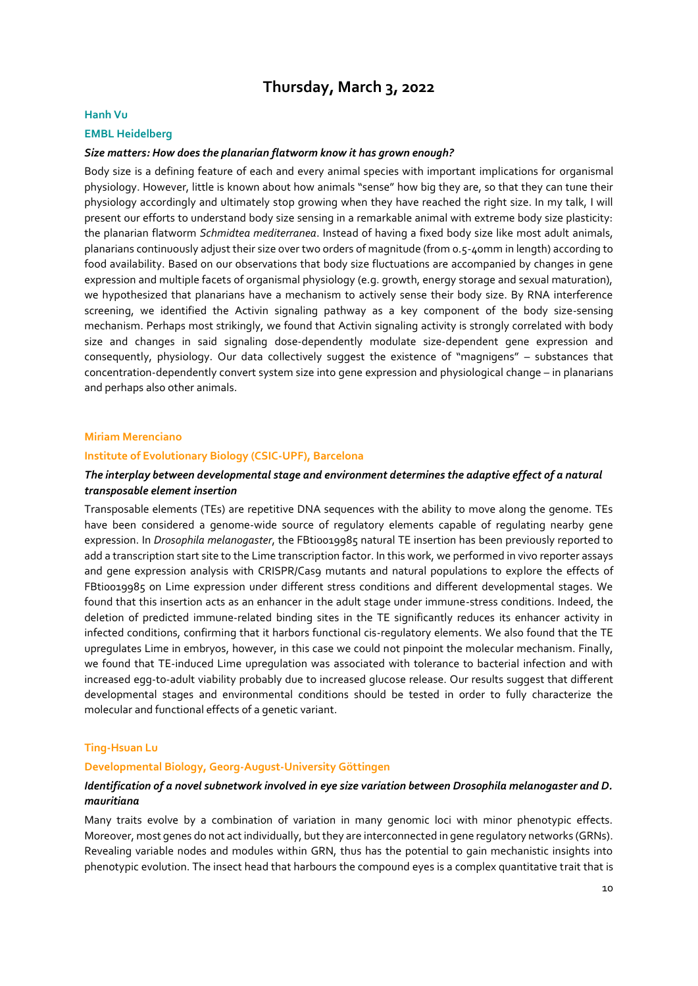## **Thursday, March 3, 2022**

#### **Hanh Vu**

## **EMBL Heidelberg**

## *Size matters: How does the planarian flatworm know it has grown enough?*

Body size is a defining feature of each and every animal species with important implications for organismal physiology. However, little is known about how animals "sense" how big they are, so that they can tune their physiology accordingly and ultimately stop growing when they have reached the right size. In my talk, I will present our efforts to understand body size sensing in a remarkable animal with extreme body size plasticity: the planarian flatworm *Schmidtea mediterranea*. Instead of having a fixed body size like most adult animals, planarians continuously adjust their size over two orders of magnitude (from 0.5-40mm in length) according to food availability. Based on our observations that body size fluctuations are accompanied by changes in gene expression and multiple facets of organismal physiology (e.g. growth, energy storage and sexual maturation), we hypothesized that planarians have a mechanism to actively sense their body size. By RNA interference screening, we identified the Activin signaling pathway as a key component of the body size-sensing mechanism. Perhaps most strikingly, we found that Activin signaling activity is strongly correlated with body size and changes in said signaling dose-dependently modulate size-dependent gene expression and consequently, physiology. Our data collectively suggest the existence of "magnigens" – substances that concentration-dependently convert system size into gene expression and physiological change – in planarians and perhaps also other animals.

#### **Miriam Merenciano**

## **Institute of Evolutionary Biology (CSIC-UPF), Barcelona**

## *The interplay between developmental stage and environment determines the adaptive effect of a natural transposable element insertion*

Transposable elements (TEs) are repetitive DNA sequences with the ability to move along the genome. TEs have been considered a genome-wide source of regulatory elements capable of regulating nearby gene expression. In *Drosophila melanogaster*, the FBti0019985 natural TE insertion has been previously reported to add a transcription start site to the Lime transcription factor. In this work, we performed in vivo reporter assays and gene expression analysis with CRISPR/Cas9 mutants and natural populations to explore the effects of FBti0019985 on Lime expression under different stress conditions and different developmental stages. We found that this insertion acts as an enhancer in the adult stage under immune-stress conditions. Indeed, the deletion of predicted immune-related binding sites in the TE significantly reduces its enhancer activity in infected conditions, confirming that it harbors functional cis-regulatory elements. We also found that the TE upregulates Lime in embryos, however, in this case we could not pinpoint the molecular mechanism. Finally, we found that TE-induced Lime upregulation was associated with tolerance to bacterial infection and with increased egg-to-adult viability probably due to increased glucose release. Our results suggest that different developmental stages and environmental conditions should be tested in order to fully characterize the molecular and functional effects of a genetic variant.

### **Ting-Hsuan Lu**

## **Developmental Biology, Georg-August-University Göttingen**

## *Identification of a novel subnetwork involved in eye size variation between Drosophila melanogaster and D. mauritiana*

Many traits evolve by a combination of variation in many genomic loci with minor phenotypic effects. Moreover, most genes do not act individually, but they are interconnected in gene regulatory networks (GRNs). Revealing variable nodes and modules within GRN, thus has the potential to gain mechanistic insights into phenotypic evolution. The insect head that harbours the compound eyes is a complex quantitative trait that is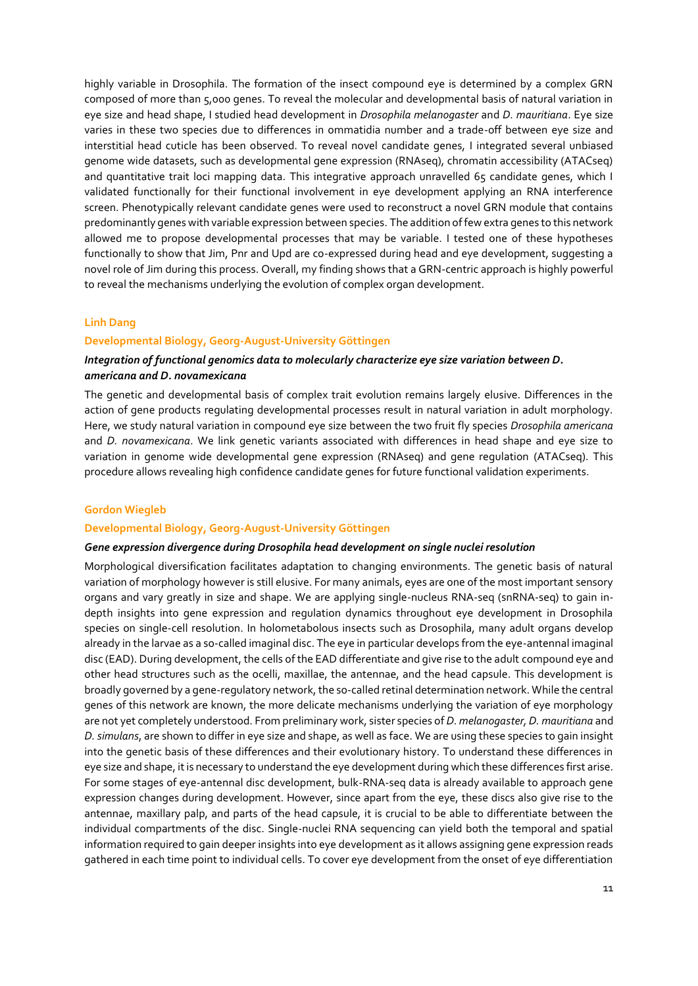highly variable in Drosophila. The formation of the insect compound eye is determined by a complex GRN composed of more than 5,000 genes. To reveal the molecular and developmental basis of natural variation in eye size and head shape, I studied head development in *Drosophila melanogaster* and *D. mauritiana*. Eye size varies in these two species due to differences in ommatidia number and a trade-off between eye size and interstitial head cuticle has been observed. To reveal novel candidate genes, I integrated several unbiased genome wide datasets, such as developmental gene expression (RNAseq), chromatin accessibility (ATACseq) and quantitative trait loci mapping data. This integrative approach unravelled 65 candidate genes, which I validated functionally for their functional involvement in eye development applying an RNA interference screen. Phenotypically relevant candidate genes were used to reconstruct a novel GRN module that contains predominantly genes with variable expression between species. The addition of few extra genes to this network allowed me to propose developmental processes that may be variable. I tested one of these hypotheses functionally to show that Jim, Pnr and Upd are co-expressed during head and eye development, suggesting a novel role of Jim during this process. Overall, my finding shows that a GRN-centric approach is highly powerful to reveal the mechanisms underlying the evolution of complex organ development.

### **Linh Dang**

## **Developmental Biology, Georg-August-University Göttingen**

## *Integration of functional genomics data to molecularly characterize eye size variation between D. americana and D. novamexicana*

The genetic and developmental basis of complex trait evolution remains largely elusive. Differences in the action of gene products regulating developmental processes result in natural variation in adult morphology. Here, we study natural variation in compound eye size between the two fruit fly species *Drosophila americana* and *D. novamexicana*. We link genetic variants associated with differences in head shape and eye size to variation in genome wide developmental gene expression (RNAseq) and gene regulation (ATACseq). This procedure allows revealing high confidence candidate genes for future functional validation experiments.

### **Gordon Wiegleb**

### **Developmental Biology, Georg-August-University Göttingen**

#### *Gene expression divergence during Drosophila head development on single nuclei resolution*

Morphological diversification facilitates adaptation to changing environments. The genetic basis of natural variation of morphology however is still elusive. For many animals, eyes are one of the most important sensory organs and vary greatly in size and shape. We are applying single-nucleus RNA-seq (snRNA-seq) to gain indepth insights into gene expression and regulation dynamics throughout eye development in Drosophila species on single-cell resolution. In holometabolous insects such as Drosophila, many adult organs develop already in the larvae as a so-called imaginal disc. The eye in particular develops from the eye-antennal imaginal disc (EAD). During development, the cells of the EAD differentiate and give rise to the adult compound eye and other head structures such as the ocelli, maxillae, the antennae, and the head capsule. This development is broadly governed by a gene-regulatory network, the so-called retinal determination network. While the central genes of this network are known, the more delicate mechanisms underlying the variation of eye morphology are not yet completely understood. From preliminary work, sister species of *D. melanogaster, D. mauritiana* and *D. simulans*, are shown to differ in eye size and shape, as well as face. We are using these species to gain insight into the genetic basis of these differences and their evolutionary history. To understand these differences in eye size and shape, it is necessary to understand the eye development during which these differences first arise. For some stages of eye-antennal disc development, bulk-RNA-seq data is already available to approach gene expression changes during development. However, since apart from the eye, these discs also give rise to the antennae, maxillary palp, and parts of the head capsule, it is crucial to be able to differentiate between the individual compartments of the disc. Single-nuclei RNA sequencing can yield both the temporal and spatial information required to gain deeper insights into eye development as it allows assigning gene expression reads gathered in each time point to individual cells. To cover eye development from the onset of eye differentiation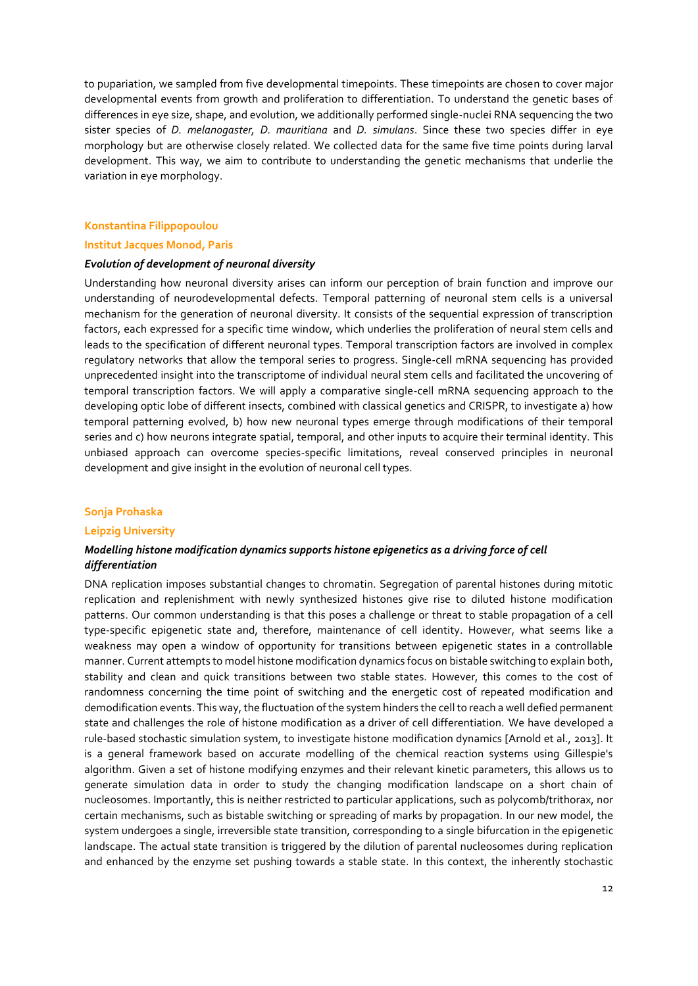to pupariation, we sampled from five developmental timepoints. These timepoints are chosen to cover major developmental events from growth and proliferation to differentiation. To understand the genetic bases of differences in eye size, shape, and evolution, we additionally performed single-nuclei RNA sequencing the two sister species of *D. melanogaster, D. mauritiana* and *D. simulans*. Since these two species differ in eye morphology but are otherwise closely related. We collected data for the same five time points during larval development. This way, we aim to contribute to understanding the genetic mechanisms that underlie the variation in eye morphology.

## **Konstantina Filippopoulou**

## **Institut Jacques Monod, Paris**

## *Evolution of development of neuronal diversity*

Understanding how neuronal diversity arises can inform our perception of brain function and improve our understanding of neurodevelopmental defects. Temporal patterning of neuronal stem cells is a universal mechanism for the generation of neuronal diversity. It consists of the sequential expression of transcription factors, each expressed for a specific time window, which underlies the proliferation of neural stem cells and leads to the specification of different neuronal types. Temporal transcription factors are involved in complex regulatory networks that allow the temporal series to progress. Single-cell mRNA sequencing has provided unprecedented insight into the transcriptome of individual neural stem cells and facilitated the uncovering of temporal transcription factors. We will apply a comparative single-cell mRNA sequencing approach to the developing optic lobe of different insects, combined with classical genetics and CRISPR, to investigate a) how temporal patterning evolved, b) how new neuronal types emerge through modifications of their temporal series and c) how neurons integrate spatial, temporal, and other inputs to acquire their terminal identity. This unbiased approach can overcome species-specific limitations, reveal conserved principles in neuronal development and give insight in the evolution of neuronal cell types.

## **Sonja Prohaska**

### **Leipzig University**

## *Modelling histone modification dynamics supports histone epigenetics as a driving force of cell differentiation*

DNA replication imposes substantial changes to chromatin. Segregation of parental histones during mitotic replication and replenishment with newly synthesized histones give rise to diluted histone modification patterns. Our common understanding is that this poses a challenge or threat to stable propagation of a cell type-specific epigenetic state and, therefore, maintenance of cell identity. However, what seems like a weakness may open a window of opportunity for transitions between epigenetic states in a controllable manner. Current attempts to model histone modification dynamics focus on bistable switching to explain both, stability and clean and quick transitions between two stable states. However, this comes to the cost of randomness concerning the time point of switching and the energetic cost of repeated modification and demodification events. This way, the fluctuation of the system hinders the cell to reach a well defied permanent state and challenges the role of histone modification as a driver of cell differentiation. We have developed a rule-based stochastic simulation system, to investigate histone modification dynamics [Arnold et al., 2013]. It is a general framework based on accurate modelling of the chemical reaction systems using Gillespie's algorithm. Given a set of histone modifying enzymes and their relevant kinetic parameters, this allows us to generate simulation data in order to study the changing modification landscape on a short chain of nucleosomes. Importantly, this is neither restricted to particular applications, such as polycomb/trithorax, nor certain mechanisms, such as bistable switching or spreading of marks by propagation. In our new model, the system undergoes a single, irreversible state transition, corresponding to a single bifurcation in the epigenetic landscape. The actual state transition is triggered by the dilution of parental nucleosomes during replication and enhanced by the enzyme set pushing towards a stable state. In this context, the inherently stochastic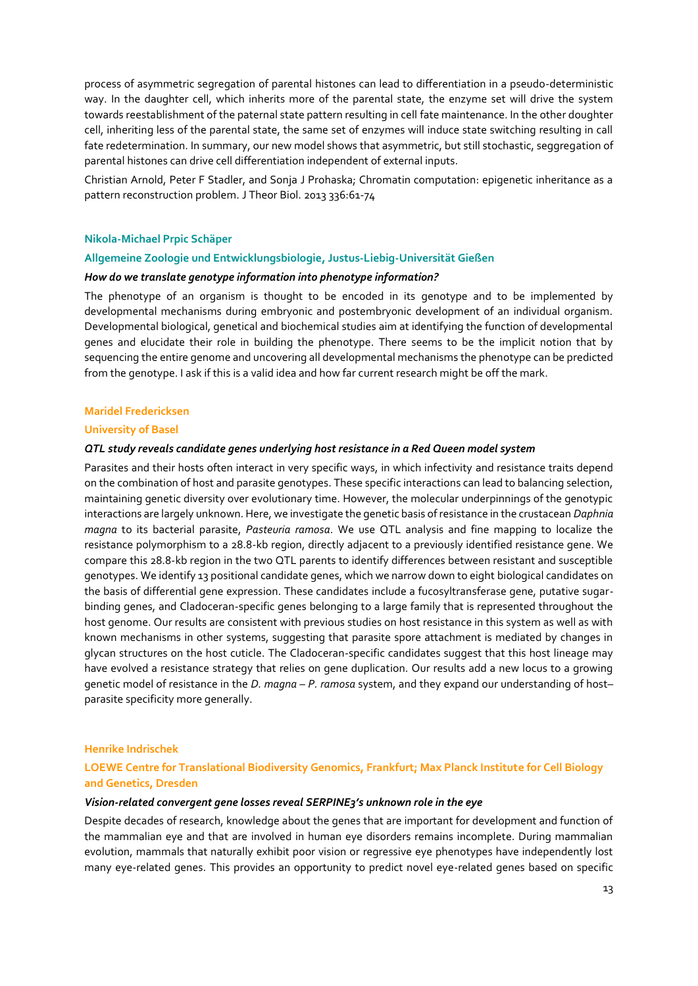process of asymmetric segregation of parental histones can lead to differentiation in a pseudo-deterministic way. In the daughter cell, which inherits more of the parental state, the enzyme set will drive the system towards reestablishment of the paternal state pattern resulting in cell fate maintenance. In the other doughter cell, inheriting less of the parental state, the same set of enzymes will induce state switching resulting in call fate redetermination. In summary, our new model shows that asymmetric, but still stochastic, seggregation of parental histones can drive cell differentiation independent of external inputs.

Christian Arnold, Peter F Stadler, and Sonja J Prohaska; Chromatin computation: epigenetic inheritance as a pattern reconstruction problem. J Theor Biol. 2013 336:61-74

## **Nikola-Michael Prpic Schäper**

## **Allgemeine Zoologie und Entwicklungsbiologie, Justus-Liebig-Universität Gießen**

## *How do we translate genotype information into phenotype information?*

The phenotype of an organism is thought to be encoded in its genotype and to be implemented by developmental mechanisms during embryonic and postembryonic development of an individual organism. Developmental biological, genetical and biochemical studies aim at identifying the function of developmental genes and elucidate their role in building the phenotype. There seems to be the implicit notion that by sequencing the entire genome and uncovering all developmental mechanisms the phenotype can be predicted from the genotype. I ask if this is a valid idea and how far current research might be off the mark.

#### **Maridel Fredericksen**

## **University of Basel**

### *QTL study reveals candidate genes underlying host resistance in a Red Queen model system*

Parasites and their hosts often interact in very specific ways, in which infectivity and resistance traits depend on the combination of host and parasite genotypes. These specific interactions can lead to balancing selection, maintaining genetic diversity over evolutionary time. However, the molecular underpinnings of the genotypic interactions are largely unknown. Here, we investigate the genetic basis of resistance in the crustacean *Daphnia magna* to its bacterial parasite, *Pasteuria ramosa*. We use QTL analysis and fine mapping to localize the resistance polymorphism to a 28.8-kb region, directly adjacent to a previously identified resistance gene. We compare this 28.8-kb region in the two QTL parents to identify differences between resistant and susceptible genotypes. We identify 13 positional candidate genes, which we narrow down to eight biological candidates on the basis of differential gene expression. These candidates include a fucosyltransferase gene, putative sugarbinding genes, and Cladoceran-specific genes belonging to a large family that is represented throughout the host genome. Our results are consistent with previous studies on host resistance in this system as well as with known mechanisms in other systems, suggesting that parasite spore attachment is mediated by changes in glycan structures on the host cuticle. The Cladoceran-specific candidates suggest that this host lineage may have evolved a resistance strategy that relies on gene duplication. Our results add a new locus to a growing genetic model of resistance in the *D. magna – P. ramosa* system, and they expand our understanding of host– parasite specificity more generally.

#### **Henrike Indrischek**

## **LOEWE Centre for Translational Biodiversity Genomics, Frankfurt; Max Planck Institute for Cell Biology and Genetics, Dresden**

## *Vision-related convergent gene losses reveal SERPINE3's unknown role in the eye*

Despite decades of research, knowledge about the genes that are important for development and function of the mammalian eye and that are involved in human eye disorders remains incomplete. During mammalian evolution, mammals that naturally exhibit poor vision or regressive eye phenotypes have independently lost many eye-related genes. This provides an opportunity to predict novel eye-related genes based on specific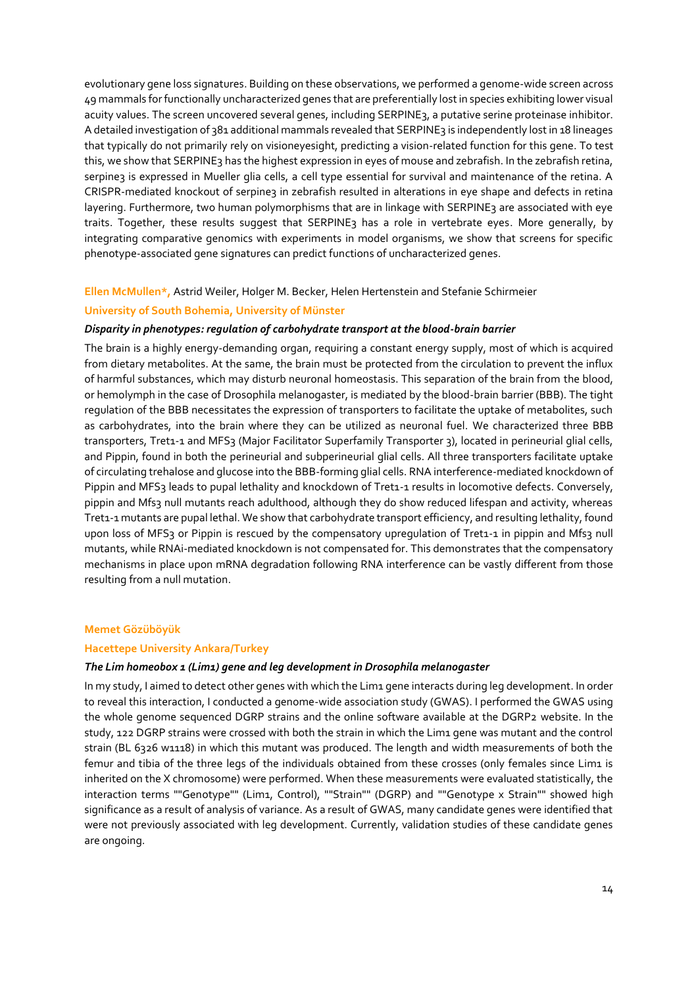evolutionary gene loss signatures. Building on these observations, we performed a genome-wide screen across 49 mammals for functionally uncharacterized genes that are preferentially lost in species exhibiting lower visual acuity values. The screen uncovered several genes, including SERPINE3, a putative serine proteinase inhibitor. A detailed investigation of 381 additional mammals revealed that SERPINE3 is independently lost in 18 lineages that typically do not primarily rely on visioneyesight, predicting a vision-related function for this gene. To test this, we show that SERPINE3 has the highest expression in eyes of mouse and zebrafish. In the zebrafish retina, serpine3 is expressed in Mueller glia cells, a cell type essential for survival and maintenance of the retina. A CRISPR-mediated knockout of serpine3 in zebrafish resulted in alterations in eye shape and defects in retina layering. Furthermore, two human polymorphisms that are in linkage with SERPINE<sub>3</sub> are associated with eye traits. Together, these results suggest that SERPINE<sub>3</sub> has a role in vertebrate eyes. More generally, by integrating comparative genomics with experiments in model organisms, we show that screens for specific phenotype-associated gene signatures can predict functions of uncharacterized genes.

## **Ellen McMullen\*,** Astrid Weiler, Holger M. Becker, Helen Hertenstein and Stefanie Schirmeier

## **University of South Bohemia, University of Münster**

## *Disparity in phenotypes: regulation of carbohydrate transport at the blood-brain barrier*

The brain is a highly energy-demanding organ, requiring a constant energy supply, most of which is acquired from dietary metabolites. At the same, the brain must be protected from the circulation to prevent the influx of harmful substances, which may disturb neuronal homeostasis. This separation of the brain from the blood, or hemolymph in the case of Drosophila melanogaster, is mediated by the blood-brain barrier (BBB). The tight regulation of the BBB necessitates the expression of transporters to facilitate the uptake of metabolites, such as carbohydrates, into the brain where they can be utilized as neuronal fuel. We characterized three BBB transporters, Tret1-1 and MFS3 (Major Facilitator Superfamily Transporter 3), located in perineurial glial cells, and Pippin, found in both the perineurial and subperineurial glial cells. All three transporters facilitate uptake of circulating trehalose and glucose into the BBB-forming glial cells. RNA interference-mediated knockdown of Pippin and MFS3 leads to pupal lethality and knockdown of Tret1-1 results in locomotive defects. Conversely, pippin and Mfs3 null mutants reach adulthood, although they do show reduced lifespan and activity, whereas Tret1-1 mutants are pupal lethal. We show that carbohydrate transport efficiency, and resulting lethality, found upon loss of MFS3 or Pippin is rescued by the compensatory upregulation of Tret1-1 in pippin and Mfs3 null mutants, while RNAi-mediated knockdown is not compensated for. This demonstrates that the compensatory mechanisms in place upon mRNA degradation following RNA interference can be vastly different from those resulting from a null mutation.

### **Memet Gözüböyük**

#### **Hacettepe University Ankara/Turkey**

### *The Lim homeobox 1 (Lim1) gene and leg development in Drosophila melanogaster*

In my study, I aimed to detect other genes with which the Lim1 gene interacts during leg development. In order to reveal this interaction, I conducted a genome-wide association study (GWAS). I performed the GWAS using the whole genome sequenced DGRP strains and the online software available at the DGRP2 website. In the study, 122 DGRP strains were crossed with both the strain in which the Lim1 gene was mutant and the control strain (BL 6326 w1118) in which this mutant was produced. The length and width measurements of both the femur and tibia of the three legs of the individuals obtained from these crosses (only females since Lim1 is inherited on the X chromosome) were performed. When these measurements were evaluated statistically, the interaction terms ""Genotype"" (Lim1, Control), ""Strain"" (DGRP) and ""Genotype x Strain"" showed high significance as a result of analysis of variance. As a result of GWAS, many candidate genes were identified that were not previously associated with leg development. Currently, validation studies of these candidate genes are ongoing.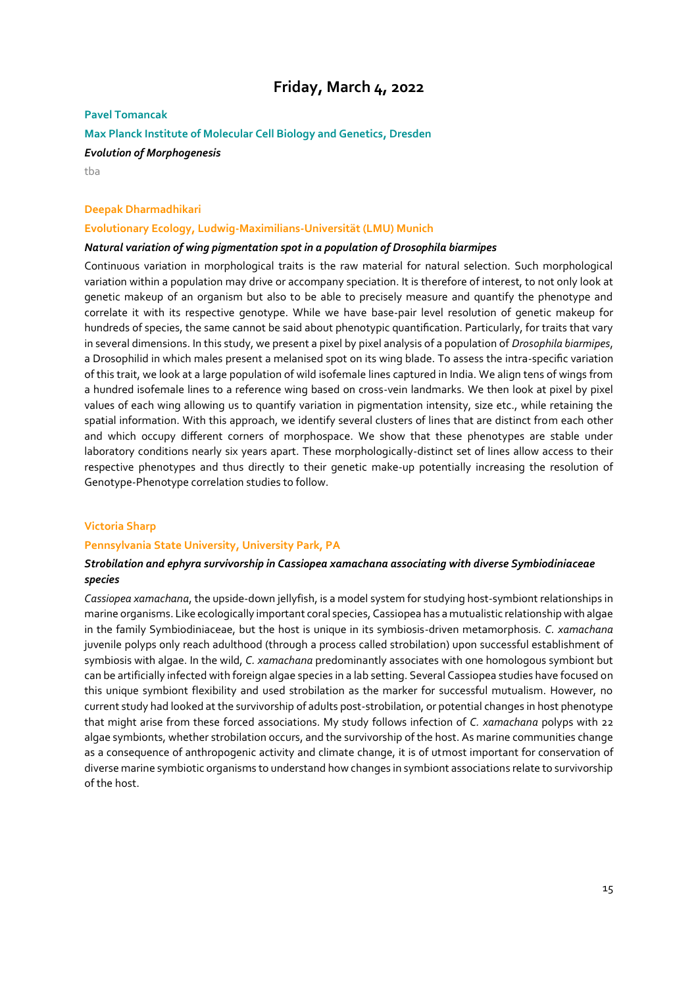## **Friday, March 4, 2022**

## **Pavel Tomancak**

## **Max Planck Institute of Molecular Cell Biology and Genetics, Dresden**

## *Evolution of Morphogenesis*

tba

## **Deepak Dharmadhikari**

## **Evolutionary Ecology, Ludwig-Maximilians-Universität (LMU) Munich**

## *Natural variation of wing pigmentation spot in a population of Drosophila biarmipes*

Continuous variation in morphological traits is the raw material for natural selection. Such morphological variation within a population may drive or accompany speciation. It is therefore of interest, to not only look at genetic makeup of an organism but also to be able to precisely measure and quantify the phenotype and correlate it with its respective genotype. While we have base-pair level resolution of genetic makeup for hundreds of species, the same cannot be said about phenotypic quantification. Particularly, for traits that vary in several dimensions. In this study, we present a pixel by pixel analysis of a population of *Drosophila biarmipes*, a Drosophilid in which males present a melanised spot on its wing blade. To assess the intra-specific variation of this trait, we look at a large population of wild isofemale lines captured in India. We align tens of wings from a hundred isofemale lines to a reference wing based on cross-vein landmarks. We then look at pixel by pixel values of each wing allowing us to quantify variation in pigmentation intensity, size etc., while retaining the spatial information. With this approach, we identify several clusters of lines that are distinct from each other and which occupy different corners of morphospace. We show that these phenotypes are stable under laboratory conditions nearly six years apart. These morphologically-distinct set of lines allow access to their respective phenotypes and thus directly to their genetic make-up potentially increasing the resolution of Genotype-Phenotype correlation studies to follow.

## **Victoria Sharp**

## **Pennsylvania State University, University Park, PA**

## *Strobilation and ephyra survivorship in Cassiopea xamachana associating with diverse Symbiodiniaceae species*

*Cassiopea xamachana*, the upside-down jellyfish, is a model system for studying host-symbiont relationships in marine organisms. Like ecologically important coral species, Cassiopea has a mutualistic relationship with algae in the family Symbiodiniaceae, but the host is unique in its symbiosis-driven metamorphosis*. C. xamachana* juvenile polyps only reach adulthood (through a process called strobilation) upon successful establishment of symbiosis with algae. In the wild, *C. xamachana* predominantly associates with one homologous symbiont but can be artificially infected with foreign algae species in a lab setting. Several Cassiopea studies have focused on this unique symbiont flexibility and used strobilation as the marker for successful mutualism. However, no current study had looked at the survivorship of adults post-strobilation, or potential changes in host phenotype that might arise from these forced associations. My study follows infection of *C. xamachana* polyps with 22 algae symbionts, whether strobilation occurs, and the survivorship of the host. As marine communities change as a consequence of anthropogenic activity and climate change, it is of utmost important for conservation of diverse marine symbiotic organisms to understand how changes in symbiont associations relate to survivorship of the host.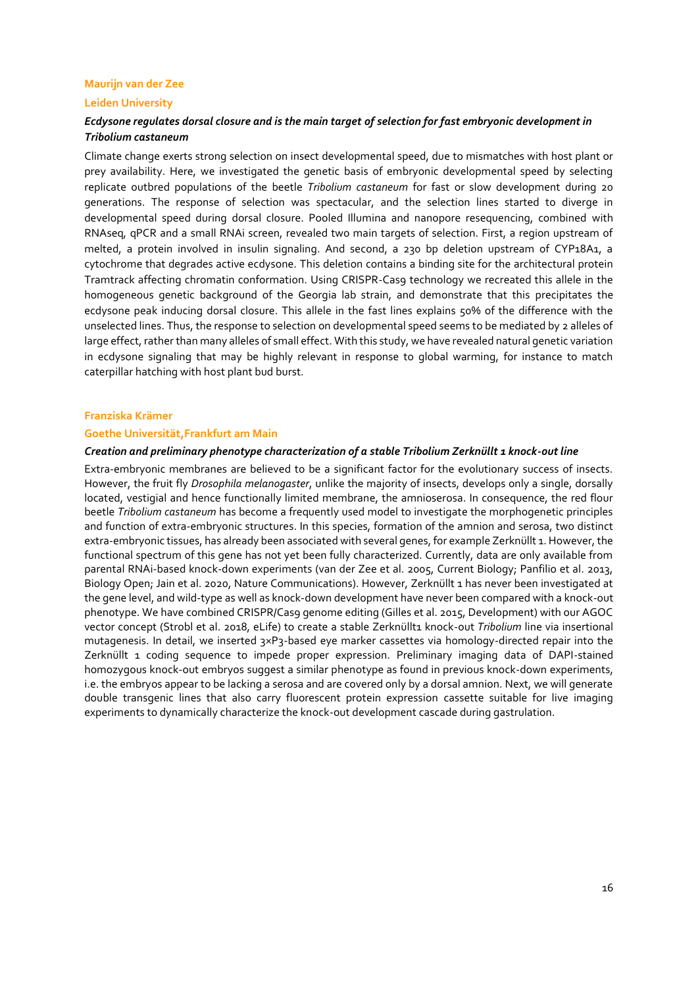## **Maurijn van der Zee**

### **Leiden University**

## *Ecdysone regulates dorsal closure and is the main target of selection for fast embryonic development in Tribolium castaneum*

Climate change exerts strong selection on insect developmental speed, due to mismatches with host plant or prey availability. Here, we investigated the genetic basis of embryonic developmental speed by selecting replicate outbred populations of the beetle *Tribolium castaneum* for fast or slow development during 20 generations. The response of selection was spectacular, and the selection lines started to diverge in developmental speed during dorsal closure. Pooled Illumina and nanopore resequencing, combined with RNAseq, qPCR and a small RNAi screen, revealed two main targets of selection. First, a region upstream of melted, a protein involved in insulin signaling. And second, a 230 bp deletion upstream of CYP18A1, a cytochrome that degrades active ecdysone. This deletion contains a binding site for the architectural protein Tramtrack affecting chromatin conformation. Using CRISPR-Cas9 technology we recreated this allele in the homogeneous genetic background of the Georgia lab strain, and demonstrate that this precipitates the ecdysone peak inducing dorsal closure. This allele in the fast lines explains 50% of the difference with the unselected lines. Thus, the response to selection on developmental speed seems to be mediated by 2 alleles of large effect, rather than many alleles of small effect. With this study, we have revealed natural genetic variation in ecdysone signaling that may be highly relevant in response to global warming, for instance to match caterpillar hatching with host plant bud burst.

#### **Franziska Krämer**

## **Goethe Universität,Frankfurt am Main**

#### *Creation and preliminary phenotype characterization of a stable Tribolium Zerknüllt 1 knock-out line*

Extra-embryonic membranes are believed to be a significant factor for the evolutionary success of insects. However, the fruit fly *Drosophila melanogaster*, unlike the majority of insects, develops only a single, dorsally located, vestigial and hence functionally limited membrane, the amnioserosa. In consequence, the red flour beetle *Tribolium castaneum* has become a frequently used model to investigate the morphogenetic principles and function of extra-embryonic structures. In this species, formation of the amnion and serosa, two distinct extra-embryonic tissues, has already been associated with several genes, for example Zerknüllt 1. However, the functional spectrum of this gene has not yet been fully characterized. Currently, data are only available from parental RNAi-based knock-down experiments (van der Zee et al. 2005, Current Biology; Panfilio et al. 2013, Biology Open; Jain et al. 2020, Nature Communications). However, Zerknüllt 1 has never been investigated at the gene level, and wild-type as well as knock-down development have never been compared with a knock-out phenotype. We have combined CRISPR/Cas9 genome editing (Gilles et al. 2015, Development) with our AGOC vector concept (Strobl et al. 2018, eLife) to create a stable Zerknüllt1 knock-out Tribolium line via insertional mutagenesis. In detail, we inserted 3×P3-based eye marker cassettes via homology-directed repair into the Zerknüllt 1 coding sequence to impede proper expression. Preliminary imaging data of DAPI-stained homozygous knock-out embryos suggest a similar phenotype as found in previous knock-down experiments, i.e. the embryos appear to be lacking a serosa and are covered only by a dorsal amnion. Next, we will generate double transgenic lines that also carry fluorescent protein expression cassette suitable for live imaging experiments to dynamically characterize the knock-out development cascade during gastrulation.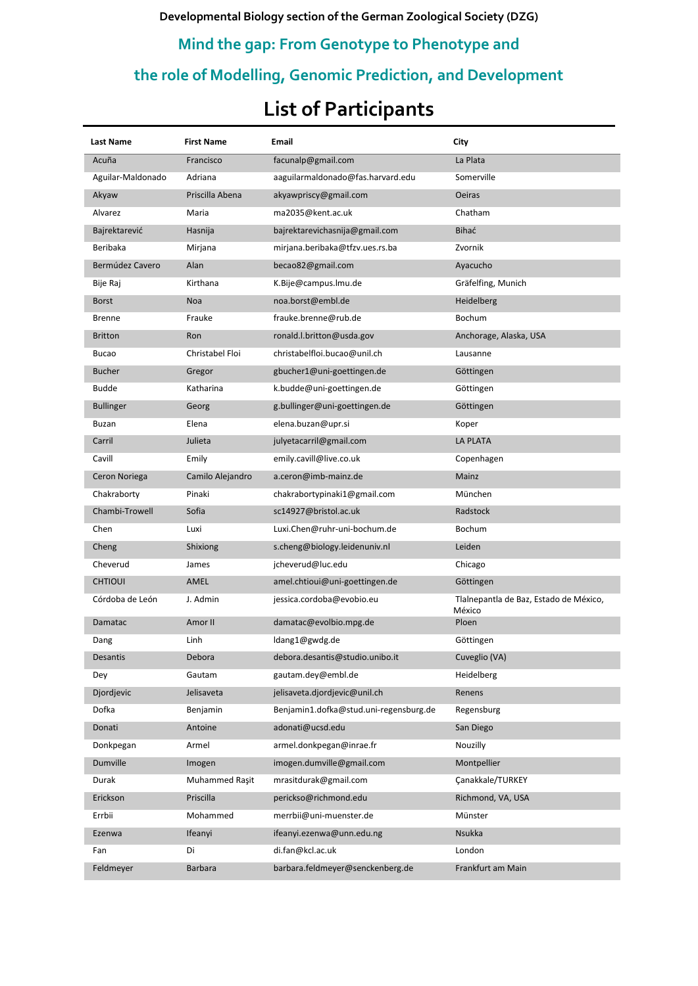**Developmental Biology section of the German Zoological Society (DZG)**

## **Mind the gap: From Genotype to Phenotype and**

# **the role of Modelling, Genomic Prediction, and Development**

# **List of Participants**

| <b>Last Name</b>  | <b>First Name</b> | Email                                  | City                                             |
|-------------------|-------------------|----------------------------------------|--------------------------------------------------|
| Acuña             | Francisco         | facunalp@gmail.com                     | La Plata                                         |
| Aguilar-Maldonado | Adriana           | aaguilarmaldonado@fas.harvard.edu      | Somerville                                       |
| Akyaw             | Priscilla Abena   | akyawpriscy@gmail.com                  | <b>Oeiras</b>                                    |
| Alvarez           | Maria             | ma2035@kent.ac.uk                      | Chatham                                          |
| Bajrektarević     | Hasnija           | bajrektarevichasnija@gmail.com         | Bihać                                            |
| Beribaka          | Mirjana           | mirjana.beribaka@tfzv.ues.rs.ba        | Zvornik                                          |
| Bermúdez Cavero   | Alan              | becao82@gmail.com                      | Ayacucho                                         |
| Bije Raj          | Kirthana          | K.Bije@campus.lmu.de                   | Gräfelfing, Munich                               |
| <b>Borst</b>      | Noa               | noa.borst@embl.de                      | Heidelberg                                       |
| <b>Brenne</b>     | Frauke            | frauke.brenne@rub.de                   | <b>Bochum</b>                                    |
| <b>Britton</b>    | Ron               | ronald.l.britton@usda.gov              | Anchorage, Alaska, USA                           |
| Bucao             | Christabel Floi   | christabelfloi.bucao@unil.ch           | Lausanne                                         |
| <b>Bucher</b>     | Gregor            | gbucher1@uni-goettingen.de             | Göttingen                                        |
| <b>Budde</b>      | Katharina         | k.budde@uni-goettingen.de              | Göttingen                                        |
| <b>Bullinger</b>  | Georg             | g.bullinger@uni-goettingen.de          | Göttingen                                        |
| Buzan             | Elena             | elena.buzan@upr.si                     | Koper                                            |
| Carril            | Julieta           | julyetacarril@gmail.com                | <b>LA PLATA</b>                                  |
| Cavill            | Emily             | emily.cavill@live.co.uk                | Copenhagen                                       |
| Ceron Noriega     | Camilo Alejandro  | a.ceron@imb-mainz.de                   | Mainz                                            |
| Chakraborty       | Pinaki            | chakrabortypinaki1@gmail.com           | München                                          |
| Chambi-Trowell    | Sofia             | sc14927@bristol.ac.uk                  | Radstock                                         |
| Chen              | Luxi              | Luxi.Chen@ruhr-uni-bochum.de           | <b>Bochum</b>                                    |
| Cheng             | Shixiong          | s.cheng@biology.leidenuniv.nl          | Leiden                                           |
| Cheverud          | James             | jcheverud@luc.edu                      | Chicago                                          |
| <b>CHTIOUI</b>    | AMEL              | amel.chtioui@uni-goettingen.de         | Göttingen                                        |
| Córdoba de León   | J. Admin          | jessica.cordoba@evobio.eu              | Tlalnepantla de Baz, Estado de México,<br>México |
| Damatac           | Amor II           | damatac@evolbio.mpg.de                 | Ploen                                            |
| Dang              | Linh              | ldang1@gwdg.de                         | Göttingen                                        |
| Desantis          | Debora            | debora.desantis@studio.unibo.it        | Cuveglio (VA)                                    |
| Dey               | Gautam            | gautam.dey@embl.de                     | Heidelberg                                       |
| Djordjevic        | Jelisaveta        | jelisaveta.djordjevic@unil.ch          | Renens                                           |
| Dofka             | Benjamin          | Benjamin1.dofka@stud.uni-regensburg.de | Regensburg                                       |
| Donati            | Antoine           | adonati@ucsd.edu                       | San Diego                                        |
| Donkpegan         | Armel             | armel.donkpegan@inrae.fr               | Nouzilly                                         |
| Dumville          | Imogen            | imogen.dumville@gmail.com              | Montpellier                                      |
| Durak             | Muhammed Raşit    | mrasitdurak@gmail.com                  | Canakkale/TURKEY                                 |
| Erickson          | Priscilla         | perickso@richmond.edu                  | Richmond, VA, USA                                |
| Errbii            | Mohammed          | merrbii@uni-muenster.de                | Münster                                          |
| Ezenwa            | Ifeanyi           | ifeanyi.ezenwa@unn.edu.ng              | Nsukka                                           |
| Fan               | Di                | di.fan@kcl.ac.uk                       | London                                           |
| Feldmeyer         | <b>Barbara</b>    | barbara.feldmeyer@senckenberg.de       | Frankfurt am Main                                |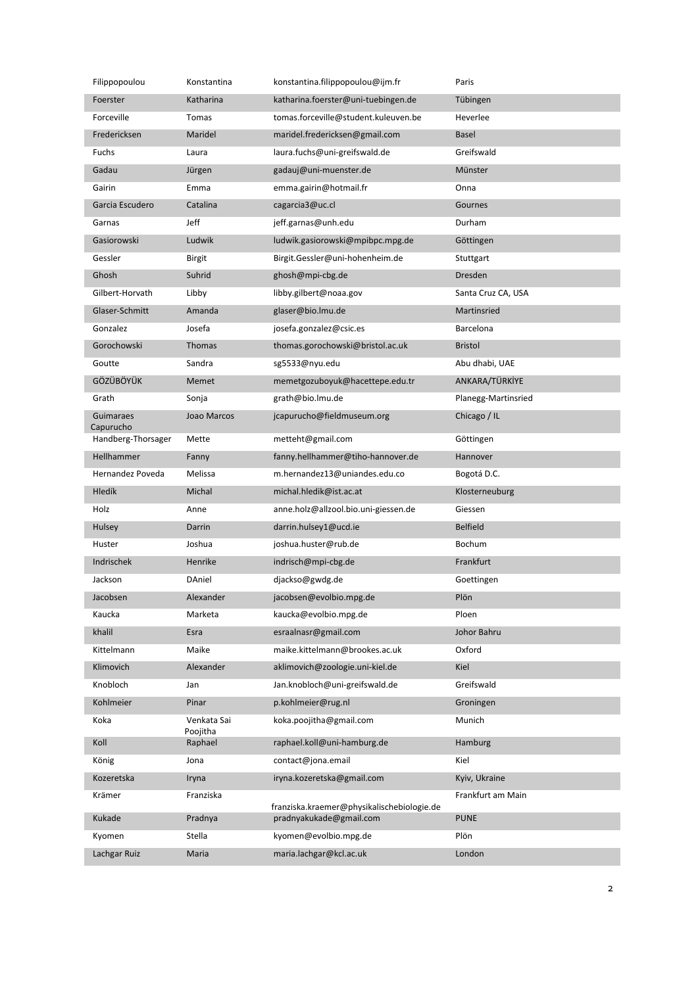| Filippopoulou          | Konstantina             | konstantina.filippopoulou@ijm.fr                                      | Paris               |
|------------------------|-------------------------|-----------------------------------------------------------------------|---------------------|
| Foerster               | Katharina               | katharina.foerster@uni-tuebingen.de                                   | Tübingen            |
| Forceville             | Tomas                   | tomas.forceville@student.kuleuven.be                                  | Heverlee            |
| Fredericksen           | Maridel                 | maridel.fredericksen@gmail.com                                        | <b>Basel</b>        |
| Fuchs                  | Laura                   | laura.fuchs@uni-greifswald.de                                         | Greifswald          |
| Gadau                  | Jürgen                  | gadauj@uni-muenster.de                                                | Münster             |
| Gairin                 | Emma                    | emma.gairin@hotmail.fr                                                | Onna                |
| Garcia Escudero        | Catalina                | cagarcia3@uc.cl                                                       | Gournes             |
| Garnas                 | Jeff                    | jeff.garnas@unh.edu                                                   | Durham              |
| Gasiorowski            | Ludwik                  | ludwik.gasiorowski@mpibpc.mpg.de                                      | Göttingen           |
| Gessler                | <b>Birgit</b>           | Birgit.Gessler@uni-hohenheim.de                                       | Stuttgart           |
| Ghosh                  | Suhrid                  | ghosh@mpi-cbg.de                                                      | Dresden             |
| Gilbert-Horvath        | Libby                   | libby.gilbert@noaa.gov                                                | Santa Cruz CA, USA  |
| Glaser-Schmitt         | Amanda                  | glaser@bio.lmu.de                                                     | Martinsried         |
| Gonzalez               | Josefa                  | josefa.gonzalez@csic.es                                               | Barcelona           |
| Gorochowski            | Thomas                  | thomas.gorochowski@bristol.ac.uk                                      | <b>Bristol</b>      |
| Goutte                 | Sandra                  | sg5533@nyu.edu                                                        | Abu dhabi, UAE      |
| GÖZÜBÖYÜK              | Memet                   | memetgozuboyuk@hacettepe.edu.tr                                       | ANKARA/TÜRKİYE      |
| Grath                  | Sonja                   | grath@bio.lmu.de                                                      | Planegg-Martinsried |
| Guimaraes<br>Capurucho | Joao Marcos             | jcapurucho@fieldmuseum.org                                            | Chicago / IL        |
| Handberg-Thorsager     | Mette                   | metteht@gmail.com                                                     | Göttingen           |
| Hellhammer             | Fanny                   | fanny.hellhammer@tiho-hannover.de                                     | Hannover            |
| Hernandez Poveda       | Melissa                 | m.hernandez13@uniandes.edu.co                                         | Bogotá D.C.         |
| Hledík                 | Michal                  | michal.hledik@ist.ac.at                                               | Klosterneuburg      |
| Holz                   | Anne                    | anne.holz@allzool.bio.uni-giessen.de                                  | Giessen             |
| Hulsey                 | Darrin                  | darrin.hulsey1@ucd.ie                                                 | <b>Belfield</b>     |
| Huster                 | Joshua                  | joshua.huster@rub.de                                                  | Bochum              |
| Indrischek             | Henrike                 | indrisch@mpi-cbg.de                                                   | Frankfurt           |
| Jackson                | DAniel                  | djackso@gwdg.de                                                       | Goettingen          |
| Jacobsen               | Alexander               | jacobsen@evolbio.mpg.de                                               | Plön                |
| Kaucka                 | Marketa                 | kaucka@evolbio.mpg.de                                                 | Ploen               |
| khalil                 | Esra                    | esraalnasr@gmail.com                                                  | Johor Bahru         |
| Kittelmann             | Maike                   | maike.kittelmann@brookes.ac.uk                                        | Oxford              |
| Klimovich              | Alexander               | aklimovich@zoologie.uni-kiel.de                                       | Kiel                |
| Knobloch               | Jan                     | Jan.knobloch@uni-greifswald.de                                        | Greifswald          |
| Kohlmeier              | Pinar                   | p.kohlmeier@rug.nl                                                    | Groningen           |
| Koka                   | Venkata Sai<br>Poojitha | koka.poojitha@gmail.com                                               | Munich              |
| Koll                   | Raphael                 | raphael.koll@uni-hamburg.de                                           | Hamburg             |
| König                  | Jona                    | contact@jona.email                                                    | Kiel                |
| Kozeretska             | Iryna                   | iryna.kozeretska@gmail.com                                            | Kyiv, Ukraine       |
| Krämer                 | Franziska               |                                                                       | Frankfurt am Main   |
| Kukade                 | Pradnya                 | franziska.kraemer@physikalischebiologie.de<br>pradnyakukade@gmail.com | <b>PUNE</b>         |
| Kyomen                 | Stella                  | kyomen@evolbio.mpg.de                                                 | Plön                |
| Lachgar Ruiz           | Maria                   | maria.lachgar@kcl.ac.uk                                               | London              |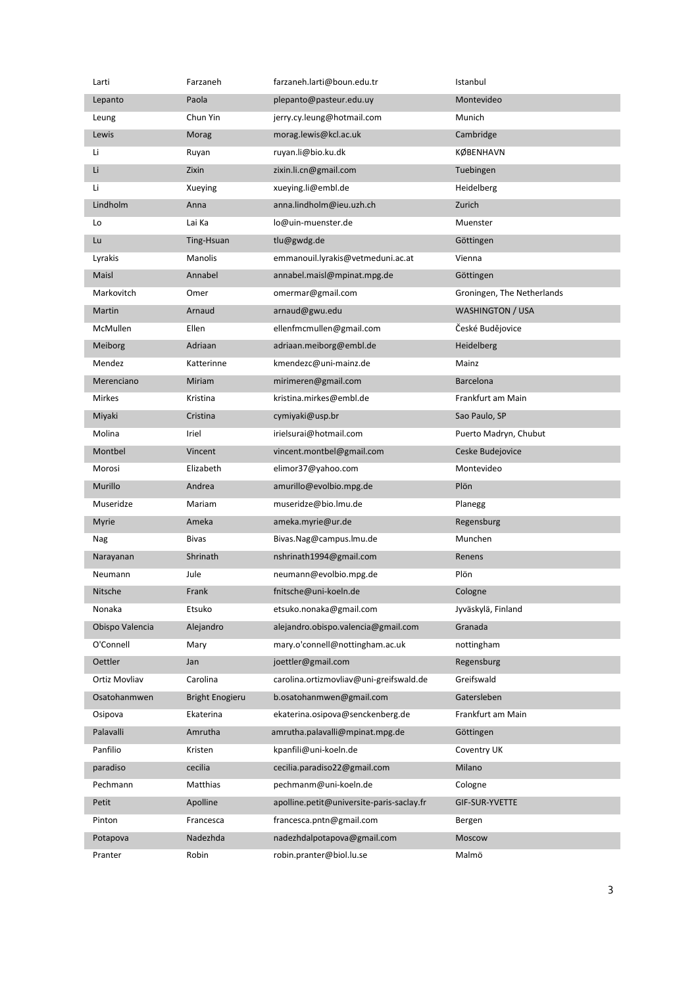| Larti           | Farzaneh               | farzaneh.larti@boun.edu.tr                | Istanbul                   |
|-----------------|------------------------|-------------------------------------------|----------------------------|
| Lepanto         | Paola                  | plepanto@pasteur.edu.uy                   | Montevideo                 |
| Leung           | Chun Yin               | jerry.cy.leung@hotmail.com                | Munich                     |
| Lewis           | Morag                  | morag.lewis@kcl.ac.uk                     | Cambridge                  |
| Li              | Ruyan                  | ruyan.li@bio.ku.dk                        | KØBENHAVN                  |
| Li              | Zixin                  | zixin.li.cn@gmail.com                     | Tuebingen                  |
| Li              | Xueying                | xueying.li@embl.de                        | Heidelberg                 |
| Lindholm        | Anna                   | anna.lindholm@ieu.uzh.ch                  | Zurich                     |
| Lo              | Lai Ka                 | lo@uin-muenster.de                        | Muenster                   |
| Lu              | Ting-Hsuan             | tlu@gwdg.de                               | Göttingen                  |
| Lyrakis         | Manolis                | emmanouil.lyrakis@vetmeduni.ac.at         | Vienna                     |
| Maisl           | Annabel                | annabel.maisl@mpinat.mpg.de               | Göttingen                  |
| Markovitch      | Omer                   | omermar@gmail.com                         | Groningen, The Netherlands |
| Martin          | Arnaud                 | arnaud@gwu.edu                            | WASHINGTON / USA           |
| McMullen        | Ellen                  | ellenfmcmullen@gmail.com                  | České Budějovice           |
| Meiborg         | Adriaan                | adriaan.meiborg@embl.de                   | Heidelberg                 |
| Mendez          | Katterinne             | kmendezc@uni-mainz.de                     | Mainz                      |
| Merenciano      | Miriam                 | mirimeren@gmail.com                       | <b>Barcelona</b>           |
| Mirkes          | Kristina               | kristina.mirkes@embl.de                   | Frankfurt am Main          |
| Miyaki          | Cristina               | cymiyaki@usp.br                           | Sao Paulo, SP              |
| Molina          | Iriel                  | irielsurai@hotmail.com                    | Puerto Madryn, Chubut      |
| Montbel         | Vincent                | vincent.montbel@gmail.com                 | Ceske Budejovice           |
| Morosi          | Elizabeth              | elimor37@yahoo.com                        | Montevideo                 |
| Murillo         | Andrea                 | amurillo@evolbio.mpg.de                   | Plön                       |
| Museridze       | Mariam                 | museridze@bio.lmu.de                      | Planegg                    |
| <b>Myrie</b>    | Ameka                  | ameka.myrie@ur.de                         | Regensburg                 |
| Nag             | <b>Bivas</b>           | Bivas.Nag@campus.lmu.de                   | Munchen                    |
| Narayanan       | Shrinath               | nshrinath1994@gmail.com                   | Renens                     |
| Neumann         | Jule                   | neumann@evolbio.mpg.de                    | Plön                       |
| <b>Nitsche</b>  | Frank                  | fnitsche@uni-koeln.de                     | Cologne                    |
| Nonaka          | Etsuko                 | etsuko.nonaka@gmail.com                   | Jyväskylä, Finland         |
| Obispo Valencia | Alejandro              | alejandro.obispo.valencia@gmail.com       | Granada                    |
| O'Connell       | Mary                   | mary.o'connell@nottingham.ac.uk           | nottingham                 |
| Oettler         | Jan                    | joettler@gmail.com                        | Regensburg                 |
| Ortiz Movliav   | Carolina               | carolina.ortizmovliav@uni-greifswald.de   | Greifswald                 |
| Osatohanmwen    | <b>Bright Enogieru</b> | b.osatohanmwen@gmail.com                  | Gatersleben                |
| Osipova         | Ekaterina              | ekaterina.osipova@senckenberg.de          | Frankfurt am Main          |
| Palavalli       | Amrutha                | amrutha.palavalli@mpinat.mpg.de           | Göttingen                  |
| Panfilio        | Kristen                | kpanfili@uni-koeln.de                     | Coventry UK                |
| paradiso        | cecilia                | cecilia.paradiso22@gmail.com              | Milano                     |
| Pechmann        | Matthias               | pechmanm@uni-koeln.de                     | Cologne                    |
| Petit           | Apolline               | apolline.petit@universite-paris-saclay.fr | GIF-SUR-YVETTE             |
| Pinton          | Francesca              | francesca.pntn@gmail.com                  | Bergen                     |
| Potapova        | Nadezhda               | nadezhdalpotapova@gmail.com               | Moscow                     |
| Pranter         | Robin                  | robin.pranter@biol.lu.se                  | Malmö                      |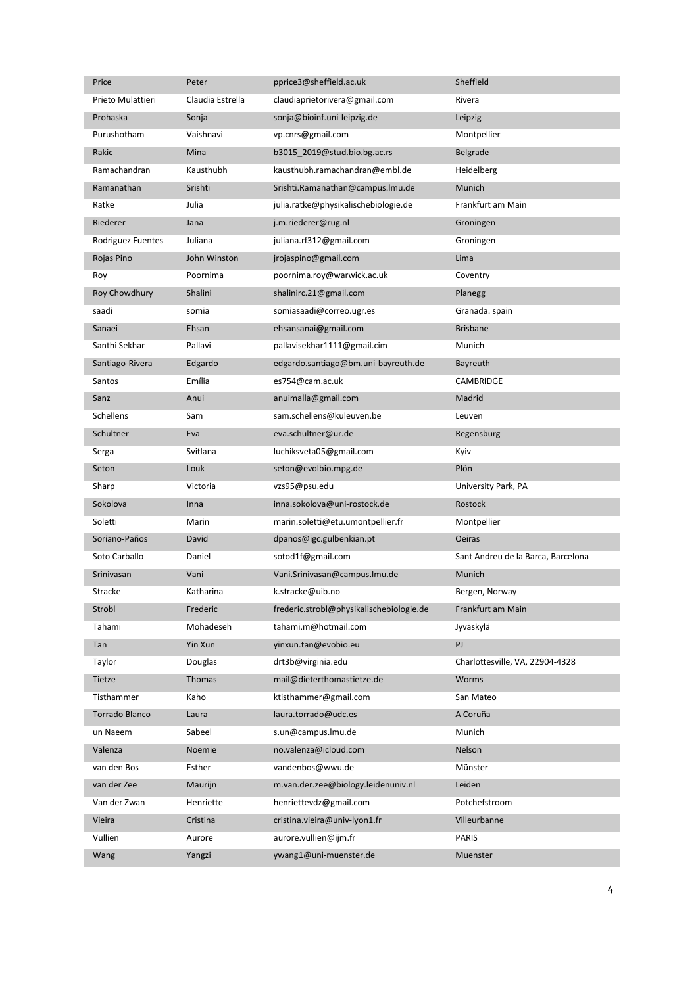| Price             | Peter            | pprice3@sheffield.ac.uk                  | Sheffield                          |
|-------------------|------------------|------------------------------------------|------------------------------------|
| Prieto Mulattieri | Claudia Estrella | claudiaprietorivera@gmail.com            | Rivera                             |
| Prohaska          | Sonja            | sonja@bioinf.uni-leipzig.de              | Leipzig                            |
| Purushotham       | Vaishnavi        | vp.cnrs@gmail.com                        | Montpellier                        |
| Rakic             | Mina             | b3015_2019@stud.bio.bg.ac.rs             | Belgrade                           |
| Ramachandran      | Kausthubh        | kausthubh.ramachandran@embl.de           | Heidelberg                         |
| Ramanathan        | Srishti          | Srishti.Ramanathan@campus.lmu.de         | Munich                             |
| Ratke             | Julia            | julia.ratke@physikalischebiologie.de     | Frankfurt am Main                  |
| Riederer          | Jana             | j.m.riederer@rug.nl                      | Groningen                          |
| Rodriguez Fuentes | Juliana          | juliana.rf312@gmail.com                  | Groningen                          |
| Rojas Pino        | John Winston     | jrojaspino@gmail.com                     | Lima                               |
| Roy               | Poornima         | poornima.roy@warwick.ac.uk               | Coventry                           |
| Roy Chowdhury     | Shalini          | shalinirc.21@gmail.com                   | Planegg                            |
| saadi             | somia            | somiasaadi@correo.ugr.es                 | Granada. spain                     |
| Sanaei            | Ehsan            | ehsansanai@gmail.com                     | <b>Brisbane</b>                    |
| Santhi Sekhar     | Pallavi          | pallavisekhar1111@gmail.cim              | Munich                             |
| Santiago-Rivera   | Edgardo          | edgardo.santiago@bm.uni-bayreuth.de      | Bayreuth                           |
| Santos            | Emília           | es754@cam.ac.uk                          | CAMBRIDGE                          |
| Sanz              | Anui             | anuimalla@gmail.com                      | Madrid                             |
| Schellens         | Sam              | sam.schellens@kuleuven.be                | Leuven                             |
| Schultner         | Eva              | eva.schultner@ur.de                      | Regensburg                         |
| Serga             | Svitlana         | luchiksveta05@gmail.com                  | Kyiv                               |
| Seton             | Louk             | seton@evolbio.mpg.de                     | Plön                               |
| Sharp             | Victoria         | vzs95@psu.edu                            | University Park, PA                |
| Sokolova          | Inna             | inna.sokolova@uni-rostock.de             | Rostock                            |
| Soletti           | Marin            | marin.soletti@etu.umontpellier.fr        | Montpellier                        |
| Soriano-Paños     | David            | dpanos@igc.gulbenkian.pt                 | <b>Oeiras</b>                      |
| Soto Carballo     | Daniel           | sotod1f@gmail.com                        | Sant Andreu de la Barca, Barcelona |
| Srinivasan        | Vani             | Vani.Srinivasan@campus.lmu.de            | Munich                             |
| Stracke           | Katharina        | k.stracke@uib.no                         | Bergen, Norway                     |
| Strobl            | Frederic         | frederic.strobl@physikalischebiologie.de | Frankfurt am Main                  |
| Tahami            | Mohadeseh        | tahami.m@hotmail.com                     | Jyväskylä                          |
| Tan               | Yin Xun          | yinxun.tan@evobio.eu                     | PJ                                 |
| Taylor            | Douglas          | drt3b@virginia.edu                       | Charlottesville, VA, 22904-4328    |
| Tietze            | Thomas           | mail@dieterthomastietze.de               | Worms                              |
| Tisthammer        | Kaho             | ktisthammer@gmail.com                    | San Mateo                          |
| Torrado Blanco    | Laura            | laura.torrado@udc.es                     | A Coruña                           |
| un Naeem          | Sabeel           | s.un@campus.lmu.de                       | Munich                             |
| Valenza           | Noemie           | no.valenza@icloud.com                    | Nelson                             |
| van den Bos       | Esther           | vandenbos@wwu.de                         | Münster                            |
| van der Zee       | Maurijn          | m.van.der.zee@biology.leidenuniv.nl      | Leiden                             |
| Van der Zwan      | Henriette        | henriettevdz@gmail.com                   | Potchefstroom                      |
| Vieira            | Cristina         | cristina.vieira@univ-lyon1.fr            | Villeurbanne                       |
| Vullien           | Aurore           | aurore.vullien@ijm.fr                    | PARIS                              |
| Wang              | Yangzi           | ywang1@uni-muenster.de                   | Muenster                           |